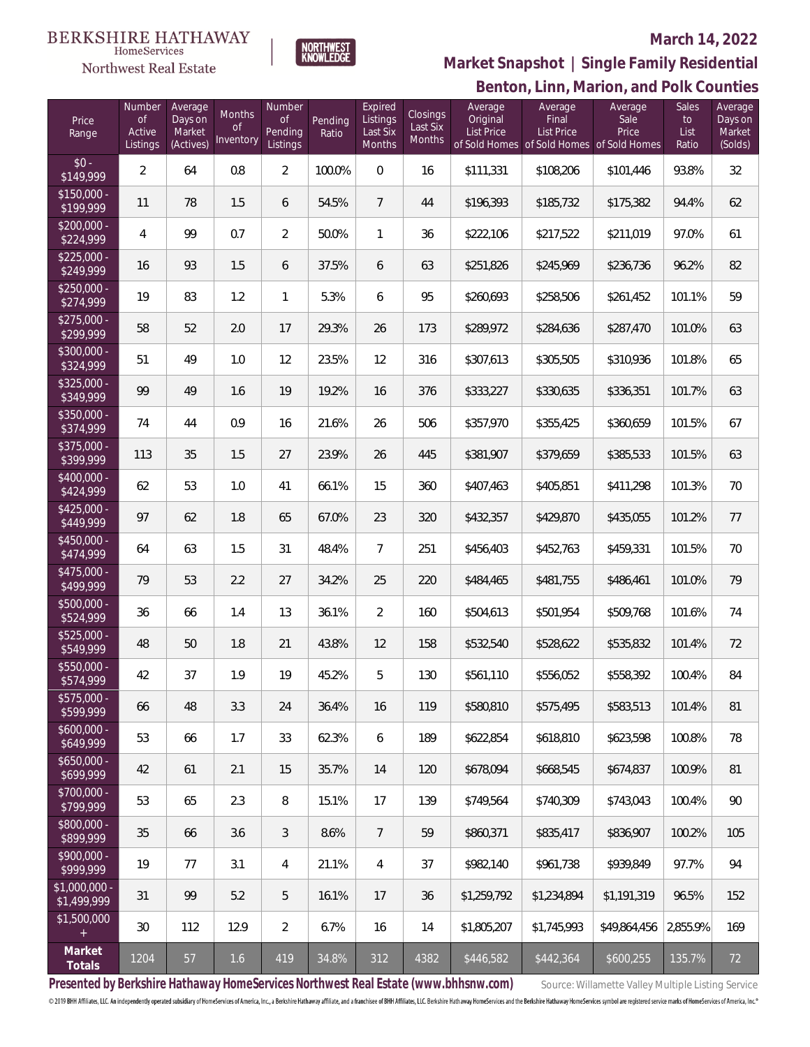

NORTHWEST<br>KNOWLFDGF

### **March 14, 2022**



| Price<br>Range                | Number<br>of<br>Active<br>Listings | Average<br>Days on<br>Market<br>(Actives) | Months<br>0f<br>Inventory | Number<br><b>of</b><br>Pending<br>Listings | Pending<br>Ratio | Expired<br>Listings<br>Last Six<br>Months | Closings<br>Last Six<br>Months | Average<br>Original<br><b>List Price</b> | Average<br>Final<br>List Price<br>of Sold Homes of Sold Homes of Sold Homes | Average<br>Sale<br>Price | Sales<br>to<br>List<br>Ratio | Average<br>Days on<br>Market<br>(Solds) |
|-------------------------------|------------------------------------|-------------------------------------------|---------------------------|--------------------------------------------|------------------|-------------------------------------------|--------------------------------|------------------------------------------|-----------------------------------------------------------------------------|--------------------------|------------------------------|-----------------------------------------|
| $$0 -$<br>\$149,999           | $\overline{2}$                     | 64                                        | 0.8                       | $\overline{2}$                             | 100.0%           | $\Omega$                                  | 16                             | \$111,331                                | \$108,206                                                                   | \$101,446                | 93.8%                        | 32                                      |
| $$150,000 -$<br>\$199,999     | 11                                 | 78                                        | 1.5                       | 6                                          | 54.5%            | $\overline{7}$                            | 44                             | \$196,393                                | \$185,732                                                                   | \$175,382                | 94.4%                        | 62                                      |
| $$200,000 -$<br>\$224,999     | 4                                  | 99                                        | 0.7                       | $\overline{2}$                             | 50.0%            | $\mathbf{1}$                              | 36                             | \$222,106                                | \$217,522                                                                   | \$211,019                | 97.0%                        | 61                                      |
| $$225,000 -$<br>\$249,999     | 16                                 | 93                                        | 1.5                       | 6                                          | 37.5%            | 6                                         | 63                             | \$251,826                                | \$245,969                                                                   | \$236,736                | 96.2%                        | 82                                      |
| $$250,000 -$<br>\$274,999     | 19                                 | 83                                        | 1.2                       | 1                                          | 5.3%             | 6                                         | 95                             | \$260,693                                | \$258,506                                                                   | \$261,452                | 101.1%                       | 59                                      |
| $$275,000 -$<br>\$299,999     | 58                                 | 52                                        | 2.0                       | 17                                         | 29.3%            | 26                                        | 173                            | \$289,972                                | \$284,636                                                                   | \$287,470                | 101.0%                       | 63                                      |
| $$300,000 -$<br>\$324,999     | 51                                 | 49                                        | 1.0                       | 12                                         | 23.5%            | 12                                        | 316                            | \$307,613                                | \$305,505                                                                   | \$310,936                | 101.8%                       | 65                                      |
| \$325,000 -<br>\$349,999      | 99                                 | 49                                        | 1.6                       | 19                                         | 19.2%            | 16                                        | 376                            | \$333,227                                | \$330,635                                                                   | \$336,351                | 101.7%                       | 63                                      |
| $$350,000 -$<br>\$374,999     | 74                                 | 44                                        | 0.9                       | 16                                         | 21.6%            | 26                                        | 506                            | \$357,970                                | \$355,425                                                                   | \$360,659                | 101.5%                       | 67                                      |
| $$375,000 -$<br>\$399,999     | 113                                | 35                                        | 1.5                       | 27                                         | 23.9%            | 26                                        | 445                            | \$381,907                                | \$379,659                                                                   | \$385,533                | 101.5%                       | 63                                      |
| $$400,000 -$<br>\$424,999     | 62                                 | 53                                        | 1.0                       | 41                                         | 66.1%            | 15                                        | 360                            | \$407,463                                | \$405,851                                                                   | \$411,298                | 101.3%                       | 70                                      |
| $$425,000 -$<br>\$449,999     | 97                                 | 62                                        | 1.8                       | 65                                         | 67.0%            | 23                                        | 320                            | \$432,357                                | \$429,870                                                                   | \$435,055                | 101.2%                       | 77                                      |
| $$450,000 -$<br>\$474,999     | 64                                 | 63                                        | 1.5                       | 31                                         | 48.4%            | $\overline{7}$                            | 251                            | \$456,403                                | \$452,763                                                                   | \$459,331                | 101.5%                       | 70                                      |
| $$475,000 -$<br>\$499,999     | 79                                 | 53                                        | 2.2                       | 27                                         | 34.2%            | 25                                        | 220                            | \$484,465                                | \$481,755                                                                   | \$486,461                | 101.0%                       | 79                                      |
| \$500,000 -<br>\$524,999      | 36                                 | 66                                        | 1.4                       | 13                                         | 36.1%            | $\overline{2}$                            | 160                            | \$504,613                                | \$501,954                                                                   | \$509,768                | 101.6%                       | 74                                      |
| $$525,000 -$<br>\$549,999     | 48                                 | 50                                        | 1.8                       | 21                                         | 43.8%            | 12                                        | 158                            | \$532,540                                | \$528,622                                                                   | \$535,832                | 101.4%                       | 72                                      |
| $$550,000 -$<br>\$574,999     | 42                                 | 37                                        | 1.9                       | 19                                         | 45.2%            | 5                                         | 130                            | \$561,110                                | \$556,052                                                                   | \$558,392                | 100.4%                       | 84                                      |
| \$575,000 -<br>\$599,999      | 66                                 | 48                                        | 3.3                       | 24                                         | 36.4%            | 16                                        | 119                            | \$580,810                                | \$575,495                                                                   | \$583,513                | 101.4%                       | 81                                      |
| $$600,000 -$<br>\$649,999     | 53                                 | 66                                        | 1.7                       | 33                                         | 62.3%            | 6                                         | 189                            | \$622,854                                | \$618,810                                                                   | \$623,598                | 100.8%                       | 78                                      |
| $$650,000 -$<br>\$699,999     | 42                                 | 61                                        | 2.1                       | 15                                         | 35.7%            | 14                                        | 120                            | \$678,094                                | \$668,545                                                                   | \$674,837                | 100.9%                       | 81                                      |
| \$700,000 -<br>\$799,999      | 53                                 | 65                                        | 2.3                       | 8                                          | 15.1%            | 17                                        | 139                            | \$749,564                                | \$740,309                                                                   | \$743,043                | 100.4%                       | 90                                      |
| \$800,000 -<br>\$899,999      | $35\,$                             | 66                                        | 3.6                       | $\mathfrak{Z}$                             | 8.6%             | $\overline{7}$                            | 59                             | \$860,371                                | \$835,417                                                                   | \$836,907                | 100.2%                       | 105                                     |
| \$900,000 -<br>\$999,999      | 19                                 | 77                                        | 3.1                       | 4                                          | 21.1%            | 4                                         | 37                             | \$982,140                                | \$961,738                                                                   | \$939,849                | 97.7%                        | 94                                      |
| $$1,000,000$ -<br>\$1,499,999 | 31                                 | 99                                        | 5.2                       | 5                                          | 16.1%            | 17                                        | 36                             | \$1,259,792                              | \$1,234,894                                                                 | \$1,191,319              | 96.5%                        | 152                                     |
| \$1,500,000<br>$+$            | $30\,$                             | 112                                       | 12.9                      | $\overline{2}$                             | 6.7%             | 16                                        | 14                             | \$1,805,207                              | \$1,745,993                                                                 | \$49,864,456             | 2,855.9%                     | 169                                     |
| Market<br>Totals              | 1204                               | 57                                        | 1.6                       | 419                                        | 34.8%            | 312                                       | 4382                           | \$446,582                                | \$442,364                                                                   | \$600,255                | 135.7%                       | 72                                      |

Presented by Berkshire Hathaway HomeServices Northwest Real Estate (www.bhhsnw.com) source: Willamette Valley Multiple Listing Service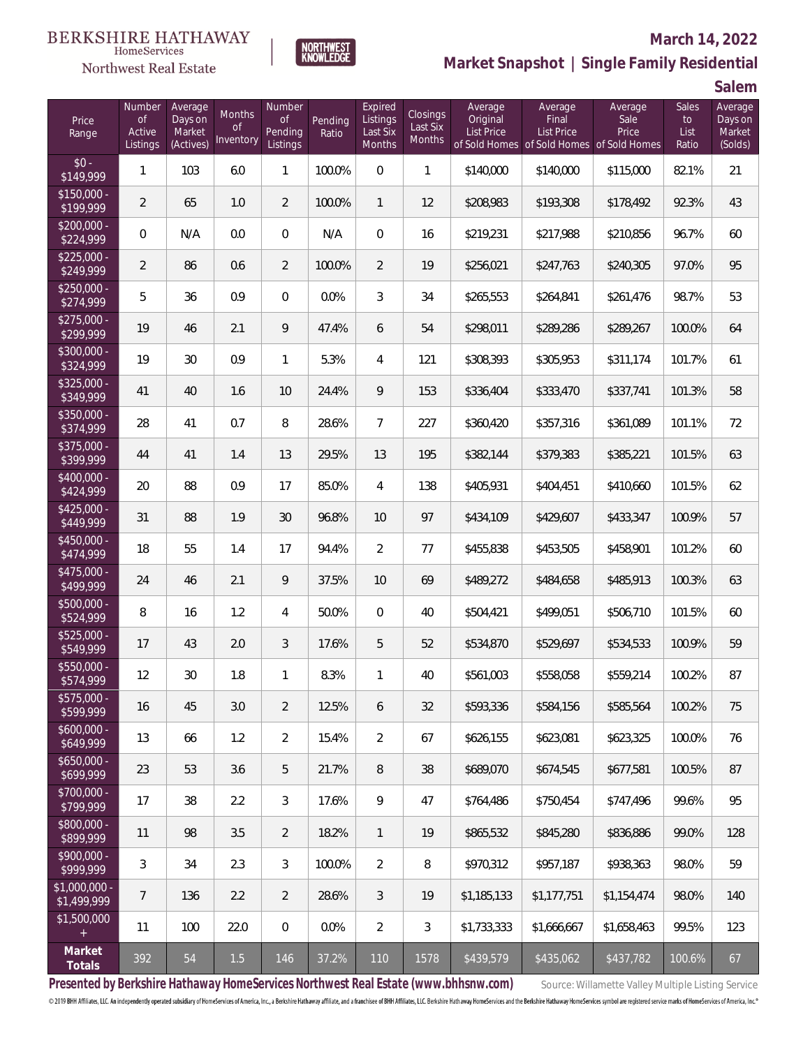

### **March 14, 2022**

**Market Snapshot | Single Family Residential**

**Salem**

| Price<br>Range               | Number<br><b>of</b><br>Active<br>Listings | Average<br>Days on<br>Market<br>(Actives) | Months<br><b>of</b><br>Inventory | Number<br>0f<br>Pending<br>Listings | Pending<br>Ratio | Expired<br>Listings<br>Last Six<br>Months | Closings<br>Last Six<br><b>Months</b> | Average<br>Original<br><b>List Price</b> | Average<br>Final<br><b>List Price</b> | Average<br>Sale<br>Price<br>of Sold Homes of Sold Homes of Sold Homes | <b>Sales</b><br>to<br>List<br>Ratio | Average<br>Days on<br>Market<br>(Solds) |
|------------------------------|-------------------------------------------|-------------------------------------------|----------------------------------|-------------------------------------|------------------|-------------------------------------------|---------------------------------------|------------------------------------------|---------------------------------------|-----------------------------------------------------------------------|-------------------------------------|-----------------------------------------|
| $$0 -$<br>\$149,999          | 1                                         | 103                                       | 6.0                              | $\mathbf{1}$                        | 100.0%           | $\mathbf 0$                               | $\mathbf{1}$                          | \$140,000                                | \$140,000                             | \$115,000                                                             | 82.1%                               | 21                                      |
| $$150,000 -$<br>\$199,999    | $\overline{2}$                            | 65                                        | 1.0                              | $\overline{2}$                      | 100.0%           | $\mathbf{1}$                              | 12                                    | \$208,983                                | \$193,308                             | \$178,492                                                             | 92.3%                               | 43                                      |
| \$200,000 -<br>\$224,999     | $\mathbf 0$                               | N/A                                       | 0.0                              | $\overline{0}$                      | N/A              | $\overline{0}$                            | 16                                    | \$219,231                                | \$217,988                             | \$210,856                                                             | 96.7%                               | 60                                      |
| $$225,000 -$<br>\$249,999    | $\overline{2}$                            | 86                                        | 0.6                              | $\overline{2}$                      | 100.0%           | $\overline{2}$                            | 19                                    | \$256,021                                | \$247,763                             | \$240,305                                                             | 97.0%                               | 95                                      |
| $$250,000 -$<br>\$274,999    | 5                                         | 36                                        | 0.9                              | $\overline{0}$                      | 0.0%             | 3                                         | 34                                    | \$265,553                                | \$264,841                             | \$261,476                                                             | 98.7%                               | 53                                      |
| $$275,000 -$<br>\$299,999    | 19                                        | 46                                        | 2.1                              | 9                                   | 47.4%            | 6                                         | 54                                    | \$298,011                                | \$289,286                             | \$289,267                                                             | 100.0%                              | 64                                      |
| $$300,000 -$<br>\$324,999    | 19                                        | 30                                        | 0.9                              | $\mathbf{1}$                        | 5.3%             | 4                                         | 121                                   | \$308,393                                | \$305,953                             | \$311,174                                                             | 101.7%                              | 61                                      |
| $$325.000 -$<br>\$349,999    | 41                                        | 40                                        | 1.6                              | 10                                  | 24.4%            | 9                                         | 153                                   | \$336,404                                | \$333,470                             | \$337,741                                                             | 101.3%                              | 58                                      |
| \$350,000 -<br>\$374,999     | 28                                        | 41                                        | 0.7                              | 8                                   | 28.6%            | $\overline{7}$                            | 227                                   | \$360,420                                | \$357,316                             | \$361,089                                                             | 101.1%                              | 72                                      |
| \$375,000 -<br>\$399,999     | 44                                        | 41                                        | 1.4                              | 13                                  | 29.5%            | 13                                        | 195                                   | \$382,144                                | \$379,383                             | \$385,221                                                             | 101.5%                              | 63                                      |
| \$400,000 -<br>\$424,999     | 20                                        | 88                                        | 0.9                              | 17                                  | 85.0%            | 4                                         | 138                                   | \$405,931                                | \$404,451                             | \$410,660                                                             | 101.5%                              | 62                                      |
| $$425,000 -$<br>\$449,999    | 31                                        | 88                                        | 1.9                              | 30                                  | 96.8%            | 10                                        | 97                                    | \$434,109                                | \$429,607                             | \$433,347                                                             | 100.9%                              | 57                                      |
| \$450,000 -<br>\$474,999     | 18                                        | 55                                        | 1.4                              | 17                                  | 94.4%            | $\overline{2}$                            | 77                                    | \$455,838                                | \$453,505                             | \$458,901                                                             | 101.2%                              | 60                                      |
| \$475,000 -<br>\$499,999     | 24                                        | 46                                        | 2.1                              | 9                                   | 37.5%            | 10                                        | 69                                    | \$489,272                                | \$484,658                             | \$485,913                                                             | 100.3%                              | 63                                      |
| \$500,000 -<br>\$524,999     | 8                                         | 16                                        | 1.2                              | 4                                   | 50.0%            | $\overline{0}$                            | 40                                    | \$504,421                                | \$499,051                             | \$506,710                                                             | 101.5%                              | 60                                      |
| \$525,000 -<br>\$549,999     | 17                                        | 43                                        | 2.0                              | 3                                   | 17.6%            | 5                                         | 52                                    | \$534,870                                | \$529,697                             | \$534,533                                                             | 100.9%                              | 59                                      |
| \$550,000 -<br>\$574,999     | 12                                        | 30                                        | 1.8                              | 1                                   | 8.3%             | $\mathbf{1}$                              | 40                                    | \$561,003                                | \$558,058                             | \$559,214                                                             | 100.2%                              | 87                                      |
| \$575,000 -<br>\$599,999     | 16                                        | 45                                        | 3.0                              | $\overline{2}$                      | 12.5%            | 6                                         | 32                                    | \$593,336                                | \$584,156                             | \$585,564                                                             | 100.2%                              | 75                                      |
| $$600,000 -$<br>\$649,999    | 13                                        | 66                                        | 1.2                              | $\overline{a}$                      | 15.4%            | $\overline{2}$                            | 67                                    | \$626,155                                | \$623,081                             | \$623,325                                                             | 100.0%                              | 76                                      |
| $$650,000 -$<br>\$699,999    | 23                                        | 53                                        | 3.6                              | 5                                   | 21.7%            | $\, 8$                                    | 38                                    | \$689,070                                | \$674.545                             | \$677,581                                                             | 100.5%                              | 87                                      |
| $$700,000 -$<br>\$799,999    | 17                                        | 38                                        | 2.2                              | 3                                   | 17.6%            | 9                                         | 47                                    | \$764,486                                | \$750,454                             | \$747,496                                                             | 99.6%                               | 95                                      |
| $$800,000 -$<br>\$899,999    | 11                                        | 98                                        | 3.5                              | $\overline{2}$                      | 18.2%            | $\mathbf{1}$                              | 19                                    | \$865,532                                | \$845,280                             | \$836,886                                                             | 99.0%                               | 128                                     |
| \$900,000 -<br>\$999,999     | 3                                         | 34                                        | 2.3                              | 3                                   | 100.0%           | $\overline{2}$                            | 8                                     | \$970,312                                | \$957,187                             | \$938,363                                                             | 98.0%                               | 59                                      |
| \$1,000,000 -<br>\$1,499,999 | 7                                         | 136                                       | 2.2                              | $\overline{2}$                      | 28.6%            | $\mathfrak{Z}$                            | 19                                    | \$1,185,133                              | \$1,177,751                           | \$1,154,474                                                           | 98.0%                               | 140                                     |
| \$1,500,000<br>$+$           | 11                                        | 100                                       | 22.0                             | $\mathbf 0$                         | 0.0%             | $\overline{2}$                            | 3                                     | \$1,733,333                              | \$1,666,667                           | \$1,658,463                                                           | 99.5%                               | 123                                     |
| Market<br>Totals             | 392                                       | 54                                        | 1.5                              | 146                                 | 37.2%            | 110                                       | 1578                                  | \$439,579                                | \$435,062                             | \$437,782                                                             | 100.6%                              | 67                                      |

NORTHWEST<br>KNOWLFDGF

Presented by Berkshire Hathaway HomeServices Northwest Real Estate (www.bhhsnw.com) source: Willamette Valley Multiple Listing Service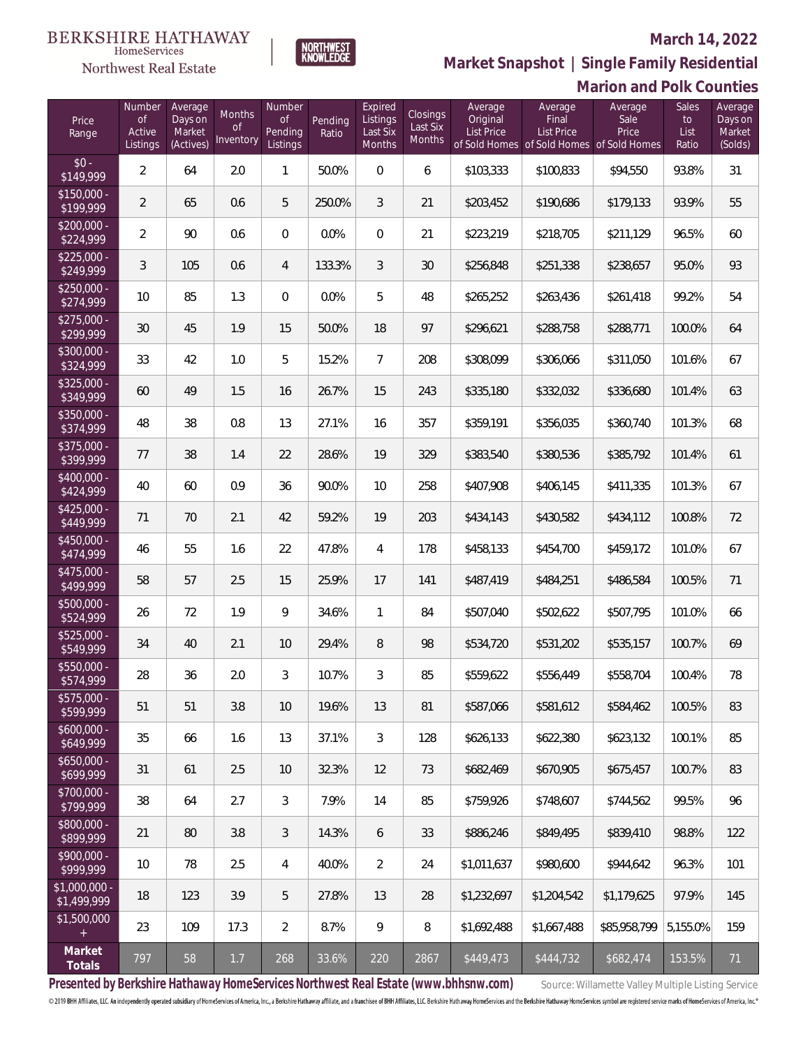## Northwest Real Estate

### **March 14, 2022**



## **Marion and Polk Counties Market Snapshot | Single Family Residential**

| Price<br>Range                    | Number<br><b>of</b><br>Active<br>Listings | Average<br>Days on<br>Market<br>(Actives) | <b>Months</b><br><b>of</b><br>Inventory | Number<br><b>of</b><br>Pending<br>Listings | Pending<br>Ratio | Expired<br>Listings<br>Last Six<br>Months | Closings<br>Last Six<br>Months | Average<br>Original<br>List Price | Average<br>Final<br>List Price<br>of Sold Homes of Sold Homes of Sold Homes | Average<br>Sale<br>Price | <b>Sales</b><br>to<br>List<br>Ratio | Average<br>Days on<br>Market<br>(Solds) |
|-----------------------------------|-------------------------------------------|-------------------------------------------|-----------------------------------------|--------------------------------------------|------------------|-------------------------------------------|--------------------------------|-----------------------------------|-----------------------------------------------------------------------------|--------------------------|-------------------------------------|-----------------------------------------|
| $$0 -$<br>\$149,999               | $\overline{2}$                            | 64                                        | 2.0                                     | 1                                          | 50.0%            | $\overline{0}$                            | 6                              | \$103,333                         | \$100,833                                                                   | \$94,550                 | 93.8%                               | 31                                      |
| $$150,000 -$<br>\$199,999         | $\overline{2}$                            | 65                                        | 0.6                                     | 5                                          | 250.0%           | 3                                         | 21                             | \$203,452                         | \$190,686                                                                   | \$179,133                | 93.9%                               | 55                                      |
| $$200,000 -$<br>\$224,999         | $\overline{2}$                            | 90                                        | 0.6                                     | $\overline{0}$                             | 0.0%             | $\overline{0}$                            | 21                             | \$223,219                         | \$218,705                                                                   | \$211,129                | 96.5%                               | 60                                      |
| $$225,000 -$<br>\$249,999         | 3                                         | 105                                       | 0.6                                     | $\overline{4}$                             | 133.3%           | 3                                         | 30                             | \$256,848                         | \$251,338                                                                   | \$238,657                | 95.0%                               | 93                                      |
| $$250,000 -$<br>\$274,999         | 10                                        | 85                                        | 1.3                                     | $\Omega$                                   | 0.0%             | 5                                         | 48                             | \$265,252                         | \$263,436                                                                   | \$261,418                | 99.2%                               | 54                                      |
| $$275,000 -$<br>\$299,999         | 30                                        | 45                                        | 1.9                                     | 15                                         | 50.0%            | 18                                        | 97                             | \$296,621                         | \$288,758                                                                   | \$288,771                | 100.0%                              | 64                                      |
| $$300,000 -$<br>\$324,999         | 33                                        | 42                                        | 1.0                                     | 5                                          | 15.2%            | $\overline{7}$                            | 208                            | \$308,099                         | \$306,066                                                                   | \$311,050                | 101.6%                              | 67                                      |
| $$325,000 -$<br>\$349,999         | 60                                        | 49                                        | 1.5                                     | 16                                         | 26.7%            | 15                                        | 243                            | \$335,180                         | \$332,032                                                                   | \$336,680                | 101.4%                              | 63                                      |
| $$350,000 -$<br>\$374,999         | 48                                        | 38                                        | 0.8                                     | 13                                         | 27.1%            | 16                                        | 357                            | \$359,191                         | \$356,035                                                                   | \$360,740                | 101.3%                              | 68                                      |
| $$375,000 -$<br>\$399,999         | 77                                        | 38                                        | 1.4                                     | 22                                         | 28.6%            | 19                                        | 329                            | \$383,540                         | \$380,536                                                                   | \$385,792                | 101.4%                              | 61                                      |
| $$400,000 -$<br>\$424,999         | 40                                        | 60                                        | 0.9                                     | 36                                         | 90.0%            | 10                                        | 258                            | \$407,908                         | \$406,145                                                                   | \$411,335                | 101.3%                              | 67                                      |
| $$425,000 -$<br>\$449,999         | 71                                        | 70                                        | 2.1                                     | 42                                         | 59.2%            | 19                                        | 203                            | \$434,143                         | \$430,582                                                                   | \$434,112                | 100.8%                              | 72                                      |
| \$450,000 -<br>\$474,999          | 46                                        | 55                                        | 1.6                                     | 22                                         | 47.8%            | $\overline{4}$                            | 178                            | \$458,133                         | \$454,700                                                                   | \$459,172                | 101.0%                              | 67                                      |
| $$475,000 -$<br>\$499,999         | 58                                        | 57                                        | 2.5                                     | 15                                         | 25.9%            | 17                                        | 141                            | \$487,419                         | \$484,251                                                                   | \$486,584                | 100.5%                              | 71                                      |
| $$500,000 -$<br>$\sqrt{$524,999}$ | 26                                        | 72                                        | 1.9                                     | 9                                          | 34.6%            | $\mathbf{1}$                              | 84                             | \$507,040                         | \$502,622                                                                   | \$507,795                | 101.0%                              | 66                                      |
| $$525,000 -$<br>\$549,999         | 34                                        | 40                                        | 2.1                                     | 10                                         | 29.4%            | 8                                         | 98                             | \$534,720                         | \$531,202                                                                   | \$535,157                | 100.7%                              | 69                                      |
| \$550,000 -<br>\$574,999          | 28                                        | 36                                        | 2.0                                     | 3                                          | 10.7%            | 3                                         | 85                             | \$559,622                         | \$556,449                                                                   | \$558,704                | 100.4%                              | 78                                      |
| $$575,000 -$<br>\$599,999         | 51                                        | 51                                        | 3.8                                     | 10                                         | 19.6%            | 13                                        | 81                             | \$587,066                         | \$581,612                                                                   | \$584,462                | 100.5%                              | 83                                      |
| $$600,000 -$<br>\$649,999         | 35                                        | 66                                        | 1.6                                     | 13                                         | 37.1%            | $\mathfrak{Z}$                            | 128                            | \$626,133                         | \$622,380                                                                   | \$623,132                | 100.1%                              | 85                                      |
| $$650,000 -$<br>\$699,999         | 31                                        | 61                                        | 2.5                                     | 10                                         | 32.3%            | 12                                        | 73                             | \$682,469                         | \$670,905                                                                   | \$675,457                | 100.7%                              | 83                                      |
| \$700,000 -<br>\$799,999          | 38                                        | 64                                        | 2.7                                     | 3                                          | 7.9%             | 14                                        | 85                             | \$759,926                         | \$748,607                                                                   | \$744,562                | 99.5%                               | 96                                      |
| \$800,000 -<br>\$899,999          | 21                                        | 80                                        | 3.8                                     | 3                                          | 14.3%            | 6                                         | 33                             | \$886,246                         | \$849,495                                                                   | \$839,410                | 98.8%                               | 122                                     |
| \$900,000 -<br>\$999,999          | 10                                        | 78                                        | 2.5                                     | $\overline{4}$                             | 40.0%            | $\overline{2}$                            | 24                             | \$1,011,637                       | \$980,600                                                                   | \$944,642                | 96.3%                               | 101                                     |
| \$1,000,000 -<br>\$1,499,999      | 18                                        | 123                                       | 3.9                                     | 5                                          | 27.8%            | 13                                        | 28                             | \$1,232,697                       | \$1,204,542                                                                 | \$1,179,625              | 97.9%                               | 145                                     |
| \$1,500,000<br>$+$                | 23                                        | 109                                       | 17.3                                    | $\overline{2}$                             | 8.7%             | 9                                         | 8                              | \$1,692,488                       | \$1,667,488                                                                 | \$85,958,799             | 5,155.0%                            | 159                                     |
| Market<br>Totals                  | 797                                       | 58                                        | 1.7                                     | 268                                        | 33.6%            | 220                                       | 2867                           | \$449,473                         | \$444,732                                                                   | \$682,474                | 153.5%                              | 71                                      |

Presented by Berkshire Hathaway HomeServices Northwest Real Estate (www.bhhsnw.com) source: Willamette Valley Multiple Listing Service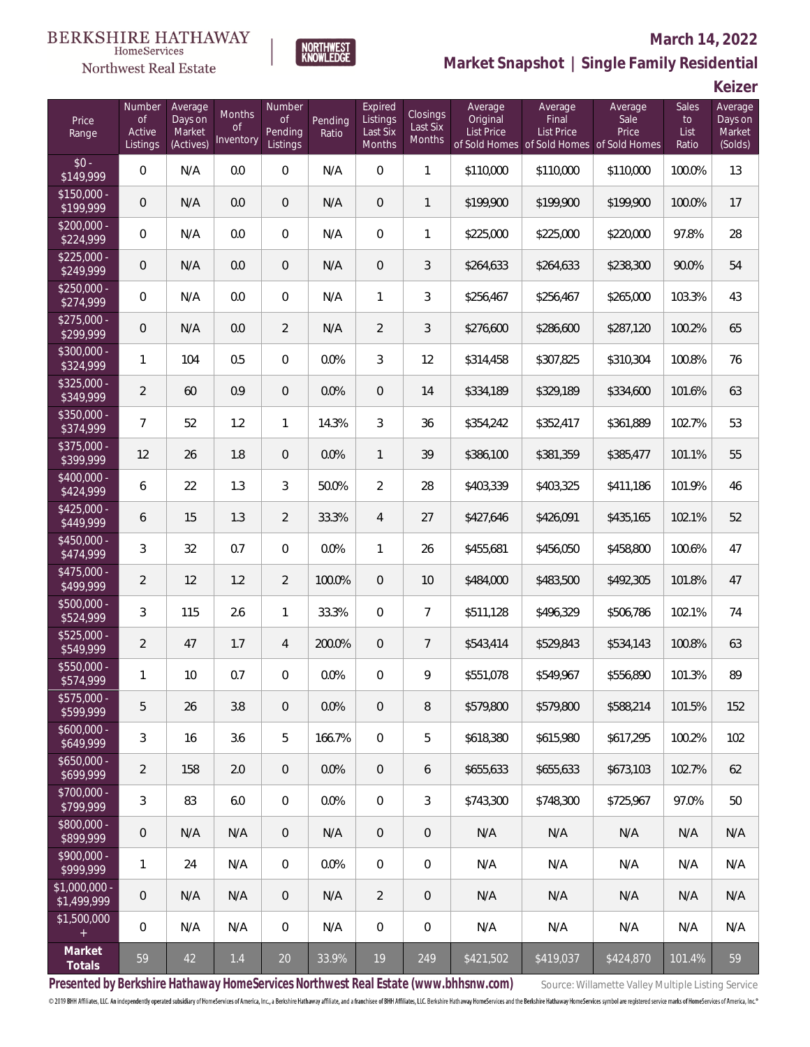

### **March 14, 2022**

**Market Snapshot | Single Family Residential**

**Keizer**

| Price<br>Range                   | Number<br><b>of</b><br>Active<br>Listings | Average<br>Days on<br>Market<br>(Actives) | Months<br>0f<br>Inventory | Number<br>Οf<br>Pending<br>Listings | Pending<br>Ratio | Expired<br>Listings<br>Last Six<br>Months | Closings<br>Last Six<br><b>Months</b> | Average<br>Original<br><b>List Price</b> | Average<br>Final<br><b>List Price</b> | Average<br>Sale<br>Price<br>of Sold Homes of Sold Homes of Sold Homes | <b>Sales</b><br>to<br>List<br>Ratio | Average<br>Days on<br>Market<br>(Solds) |
|----------------------------------|-------------------------------------------|-------------------------------------------|---------------------------|-------------------------------------|------------------|-------------------------------------------|---------------------------------------|------------------------------------------|---------------------------------------|-----------------------------------------------------------------------|-------------------------------------|-----------------------------------------|
| $$0 -$<br>\$149,999              | $\mathbf 0$                               | N/A                                       | 0.0                       | $\boldsymbol{0}$                    | N/A              | $\overline{0}$                            | $\mathbf{1}$                          | \$110,000                                | \$110,000                             | \$110,000                                                             | 100.0%                              | 13                                      |
| $$150,000 -$<br>\$199,999        | $\mathbf 0$                               | N/A                                       | 0.0                       | $\overline{0}$                      | N/A              | $\overline{0}$                            | $\mathbf{1}$                          | \$199,900                                | \$199,900                             | \$199,900                                                             | 100.0%                              | 17                                      |
| $\sqrt{$200,000}$ -<br>\$224,999 | $\mathbf 0$                               | N/A                                       | 0.0                       | $\mathbf{0}$                        | N/A              | $\overline{0}$                            | 1                                     | \$225,000                                | \$225,000                             | \$220,000                                                             | 97.8%                               | 28                                      |
| $$225,000 -$<br>\$249,999        | $\overline{0}$                            | N/A                                       | 0.0                       | $\overline{0}$                      | N/A              | $\boldsymbol{0}$                          | 3                                     | \$264,633                                | \$264,633                             | \$238,300                                                             | 90.0%                               | 54                                      |
| $$250.000 -$<br>\$274,999        | $\overline{0}$                            | N/A                                       | 0.0                       | $\overline{0}$                      | N/A              | $\mathbf{1}$                              | 3                                     | \$256,467                                | \$256,467                             | \$265,000                                                             | 103.3%                              | 43                                      |
| $$275.000 -$<br>\$299,999        | $\mathbf 0$                               | N/A                                       | 0.0                       | $\overline{2}$                      | N/A              | $\overline{2}$                            | 3                                     | \$276,600                                | \$286,600                             | \$287,120                                                             | 100.2%                              | 65                                      |
| \$300,000 -<br>\$324,999         | 1                                         | 104                                       | 0.5                       | $\mathbf 0$                         | 0.0%             | 3                                         | 12                                    | \$314,458                                | \$307,825                             | \$310,304                                                             | 100.8%                              | 76                                      |
| \$325,000 -<br>\$349,999         | $\overline{a}$                            | 60                                        | 0.9                       | $\overline{0}$                      | 0.0%             | $\overline{0}$                            | 14                                    | \$334,189                                | \$329,189                             | \$334,600                                                             | 101.6%                              | 63                                      |
| \$350,000 -<br>\$374,999         | 7                                         | 52                                        | 1.2                       | 1                                   | 14.3%            | 3                                         | 36                                    | \$354,242                                | \$352,417                             | \$361,889                                                             | 102.7%                              | 53                                      |
| \$375,000 -<br>\$399,999         | 12                                        | 26                                        | 1.8                       | $\mathbf 0$                         | 0.0%             | $\mathbf{1}$                              | 39                                    | \$386,100                                | \$381,359                             | \$385,477                                                             | 101.1%                              | 55                                      |
| \$400,000 -<br>\$424,999         | 6                                         | 22                                        | 1.3                       | 3                                   | 50.0%            | $\overline{2}$                            | 28                                    | \$403,339                                | \$403,325                             | \$411,186                                                             | 101.9%                              | 46                                      |
| $$425,000 -$<br>\$449,999        | 6                                         | 15                                        | 1.3                       | $\overline{2}$                      | 33.3%            | $\overline{4}$                            | 27                                    | \$427,646                                | \$426,091                             | \$435,165                                                             | 102.1%                              | 52                                      |
| \$450,000 -<br>\$474,999         | 3                                         | 32                                        | 0.7                       | $\mathbf 0$                         | 0.0%             | $\mathbf{1}$                              | 26                                    | \$455,681                                | \$456,050                             | \$458,800                                                             | 100.6%                              | 47                                      |
| $$475,000 -$<br>\$499,999        | $\overline{2}$                            | 12                                        | 1.2                       | $\overline{2}$                      | 100.0%           | $\overline{0}$                            | 10                                    | \$484,000                                | \$483,500                             | \$492,305                                                             | 101.8%                              | 47                                      |
| $$500,000 -$<br>\$524,999        | 3                                         | 115                                       | 2.6                       | 1                                   | 33.3%            | $\overline{0}$                            | $\overline{7}$                        | \$511,128                                | \$496,329                             | \$506,786                                                             | 102.1%                              | 74                                      |
| $$525,000 -$<br>\$549,999        | $\overline{2}$                            | 47                                        | 1.7                       | 4                                   | 200.0%           | $\mathbf 0$                               | 7                                     | \$543,414                                | \$529,843                             | \$534,143                                                             | 100.8%                              | 63                                      |
| \$550,000 -<br>\$574,999         | 1                                         | 10                                        | 0.7                       | $\mathbf{0}$                        | 0.0%             | 0                                         | 9                                     | \$551,078                                | \$549,967                             | \$556,890                                                             | 101.3%                              | 89                                      |
| $$575,000 -$<br>\$599,999        | 5                                         | 26                                        | 3.8                       | $\overline{0}$                      | 0.0%             | $\mathbf 0$                               | 8                                     | \$579,800                                | \$579,800                             | \$588.214                                                             | 101.5%                              | 152                                     |
| $$600,000 -$<br>\$649,999        | 3                                         | 16                                        | 3.6                       | 5                                   | 166.7%           | $\overline{0}$                            | 5                                     | \$618,380                                | \$615,980                             | \$617,295                                                             | 100.2%                              | 102                                     |
| $$650,000 -$<br>\$699,999        | $\overline{a}$                            | 158                                       | 2.0                       | $\overline{0}$                      | 0.0%             | $\overline{0}$                            | 6                                     | \$655,633                                | \$655,633                             | \$673,103                                                             | 102.7%                              | 62                                      |
| \$700,000 -<br>\$799,999         | 3                                         | 83                                        | 6.0                       | $\mathbf{0}$                        | 0.0%             | $\mathbb O$                               | 3                                     | \$743,300                                | \$748,300                             | \$725,967                                                             | 97.0%                               | 50                                      |
| \$800,000 -<br>\$899,999         | $\mathbf 0$                               | N/A                                       | N/A                       | $\mathbf{0}$                        | N/A              | $\overline{0}$                            | 0                                     | N/A                                      | N/A                                   | N/A                                                                   | N/A                                 | N/A                                     |
| \$900,000 -<br>\$999,999         | 1                                         | 24                                        | N/A                       | $\mathbf 0$                         | 0.0%             | $\mathbf 0$                               | 0                                     | N/A                                      | N/A                                   | N/A                                                                   | N/A                                 | N/A                                     |
| \$1,000,000<br>\$1,499,999       | $\mathbf 0$                               | N/A                                       | N/A                       | $\overline{0}$                      | N/A              | $\overline{2}$                            | 0                                     | N/A                                      | N/A                                   | N/A                                                                   | N/A                                 | N/A                                     |
| \$1,500,000<br>$+$               | $\overline{0}$                            | N/A                                       | N/A                       | $\mathbf{0}$                        | N/A              | 0                                         | 0                                     | N/A                                      | N/A                                   | N/A                                                                   | N/A                                 | N/A                                     |
| Market<br>Totals                 | 59                                        | 42                                        | $1.4\,$                   | 20                                  | 33.9%            | 19                                        | 249                                   | \$421,502                                | \$419,037                             | \$424,870                                                             | 101.4%                              | 59                                      |

NORTHWEST<br>KNOWLFDGF

Presented by Berkshire Hathaway HomeServices Northwest Real Estate (www.bhhsnw.com) source: Willamette Valley Multiple Listing Service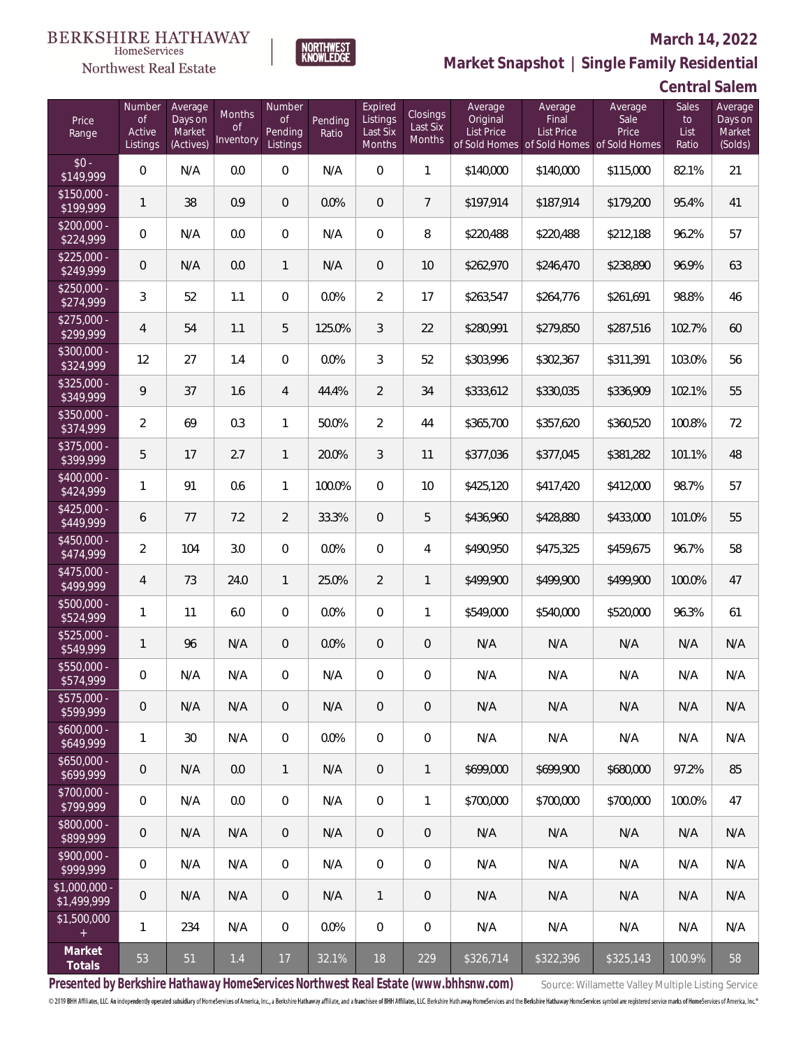

#### **March 14, 2022**

**Market Snapshot | Single Family Residential**

# **Central Salem**

| Price<br>Range               | Number<br><b>of</b><br>Active<br>Listings | Average<br>Days on<br>Market<br>(Actives) | <b>Months</b><br><b>of</b><br>Inventory | Number<br><b>of</b><br>Pending<br>Listings | Pending<br>Ratio | Expired<br>Listings<br>Last Six<br>Months | Closings<br>Last Six<br>Months | Average<br>Original<br>List Price | Average<br>Final<br><b>List Price</b> | Average<br>Sale<br>Price<br>of Sold Homes of Sold Homes of Sold Homes | Sales<br>to<br>List<br>Ratio | Average<br>Days on<br>Market<br>(Solds) |
|------------------------------|-------------------------------------------|-------------------------------------------|-----------------------------------------|--------------------------------------------|------------------|-------------------------------------------|--------------------------------|-----------------------------------|---------------------------------------|-----------------------------------------------------------------------|------------------------------|-----------------------------------------|
| $$0 -$<br>\$149,999          | 0                                         | N/A                                       | 0.0                                     | 0                                          | N/A              | 0                                         | 1                              | \$140,000                         | \$140,000                             | \$115,000                                                             | 82.1%                        | 21                                      |
| $$150,000 -$<br>\$199,999    | 1                                         | 38                                        | 0.9                                     | $\overline{0}$                             | 0.0%             | $\overline{0}$                            | $\overline{7}$                 | \$197,914                         | \$187,914                             | \$179,200                                                             | 95.4%                        | 41                                      |
| $$200,000 -$<br>\$224,999    | 0                                         | N/A                                       | 0.0                                     | $\overline{0}$                             | N/A              | $\overline{0}$                            | 8                              | \$220,488                         | \$220,488                             | \$212,188                                                             | 96.2%                        | 57                                      |
| $$225,000 -$<br>\$249,999    | 0                                         | N/A                                       | 0.0                                     | $\mathbf{1}$                               | N/A              | $\overline{0}$                            | 10                             | \$262,970                         | \$246,470                             | \$238,890                                                             | 96.9%                        | 63                                      |
| $$250,000 -$<br>\$274,999    | 3                                         | 52                                        | 1.1                                     | $\overline{0}$                             | 0.0%             | $\overline{2}$                            | 17                             | \$263,547                         | \$264,776                             | \$261,691                                                             | 98.8%                        | 46                                      |
| $$275,000 -$<br>\$299,999    | $\overline{4}$                            | 54                                        | 1.1                                     | 5                                          | 125.0%           | 3                                         | 22                             | \$280,991                         | \$279,850                             | \$287,516                                                             | 102.7%                       | 60                                      |
| $$300,000 -$<br>\$324,999    | 12                                        | 27                                        | 1.4                                     | 0                                          | 0.0%             | 3                                         | 52                             | \$303,996                         | \$302,367                             | \$311,391                                                             | 103.0%                       | 56                                      |
| $$325,000 -$<br>\$349,999    | 9                                         | 37                                        | 1.6                                     | $\overline{4}$                             | 44.4%            | $\overline{2}$                            | 34                             | \$333,612                         | \$330,035                             | \$336,909                                                             | 102.1%                       | 55                                      |
| $$350,000 -$<br>\$374,999    | 2                                         | 69                                        | 0.3                                     | 1                                          | 50.0%            | $\overline{2}$                            | 44                             | \$365,700                         | \$357,620                             | \$360,520                                                             | 100.8%                       | 72                                      |
| \$375,000 -<br>\$399,999     | 5                                         | 17                                        | 2.7                                     | $\mathbf{1}$                               | 20.0%            | 3                                         | 11                             | \$377,036                         | \$377,045                             | \$381,282                                                             | 101.1%                       | 48                                      |
| $$400,000 -$<br>\$424,999    | 1                                         | 91                                        | 0.6                                     | 1                                          | 100.0%           | $\overline{0}$                            | 10                             | \$425,120                         | \$417,420                             | \$412,000                                                             | 98.7%                        | 57                                      |
| $$425,000 -$<br>\$449,999    | 6                                         | 77                                        | 7.2                                     | $\overline{2}$                             | 33.3%            | $\overline{0}$                            | 5                              | \$436,960                         | \$428,880                             | \$433,000                                                             | 101.0%                       | 55                                      |
| $$450,000 -$<br>\$474,999    | 2                                         | 104                                       | 3.0                                     | 0                                          | 0.0%             | 0                                         | 4                              | \$490,950                         | \$475,325                             | \$459,675                                                             | 96.7%                        | 58                                      |
| $$475,000 -$<br>\$499,999    | 4                                         | 73                                        | 24.0                                    | $\mathbf{1}$                               | 25.0%            | $\overline{2}$                            | 1                              | \$499,900                         | \$499,900                             | \$499,900                                                             | 100.0%                       | 47                                      |
| $$500,000 -$<br>\$524,999    | 1                                         | 11                                        | 6.0                                     | $\overline{0}$                             | 0.0%             | $\overline{0}$                            | 1                              | \$549,000                         | \$540,000                             | \$520,000                                                             | 96.3%                        | 61                                      |
| $$525,000 -$<br>\$549,999    | $\mathbf{1}$                              | 96                                        | N/A                                     | $\overline{0}$                             | 0.0%             | $\mathbf 0$                               | 0                              | N/A                               | N/A                                   | N/A                                                                   | N/A                          | N/A                                     |
| \$550,000 -<br>\$574,999     | 0                                         | N/A                                       | N/A                                     | 0                                          | N/A              | 0                                         | 0                              | N/A                               | N/A                                   | N/A                                                                   | N/A                          | N/A                                     |
| \$575,000 -<br>\$599,999     | 0                                         | N/A                                       | N/A                                     | 0                                          | N/A              | 0                                         | 0                              | N/A                               | N/A                                   | N/A                                                                   | N/A                          | N/A                                     |
| $$600,000 -$<br>\$649,999    | $\mathbf{1}$                              | 30                                        | N/A                                     | 0                                          | 0.0%             | 0                                         | $\boldsymbol{0}$               | N/A                               | N/A                                   | N/A                                                                   | N/A                          | N/A                                     |
| $$650,000 -$<br>\$699,999    | 0                                         | N/A                                       | 0.0                                     | 1                                          | N/A              | $\overline{0}$                            | 1                              | \$699,000                         | \$699,900                             | \$680,000                                                             | 97.2%                        | 85                                      |
| \$700,000 -<br>\$799,999     | 0                                         | N/A                                       | 0.0                                     | 0                                          | N/A              | $\mathbf 0$                               | 1                              | \$700,000                         | \$700,000                             | \$700,000                                                             | 100.0%                       | 47                                      |
| \$800,000 -<br>\$899,999     | 0                                         | N/A                                       | N/A                                     | 0                                          | N/A              | $\overline{0}$                            | 0                              | N/A                               | N/A                                   | N/A                                                                   | N/A                          | N/A                                     |
| \$900,000 -<br>\$999,999     | $\boldsymbol{0}$                          | N/A                                       | N/A                                     | 0                                          | N/A              | 0                                         | 0                              | N/A                               | N/A                                   | N/A                                                                   | N/A                          | N/A                                     |
| \$1,000,000 -<br>\$1,499,999 | 0                                         | N/A                                       | N/A                                     | $\overline{0}$                             | N/A              | 1                                         | 0                              | N/A                               | N/A                                   | N/A                                                                   | N/A                          | N/A                                     |
| \$1,500,000<br>$\pm$         | 1                                         | 234                                       | N/A                                     | $\mathbf 0$                                | 0.0%             | $\mathbf 0$                               | 0                              | N/A                               | N/A                                   | N/A                                                                   | N/A                          | N/A                                     |
| Market<br>Totals             | 53                                        | 51                                        | $1.4$                                   | 17                                         | 32.1%            | 18                                        | 229                            | \$326,714                         | \$322,396                             | \$325,143                                                             | 100.9%                       | 58                                      |

NORTHWEST<br>KNOWLFDGF

Presented by Berkshire Hathaway HomeServices Northwest Real Estate (www.bhhsnw.com) source: Willamette Valley Multiple Listing Service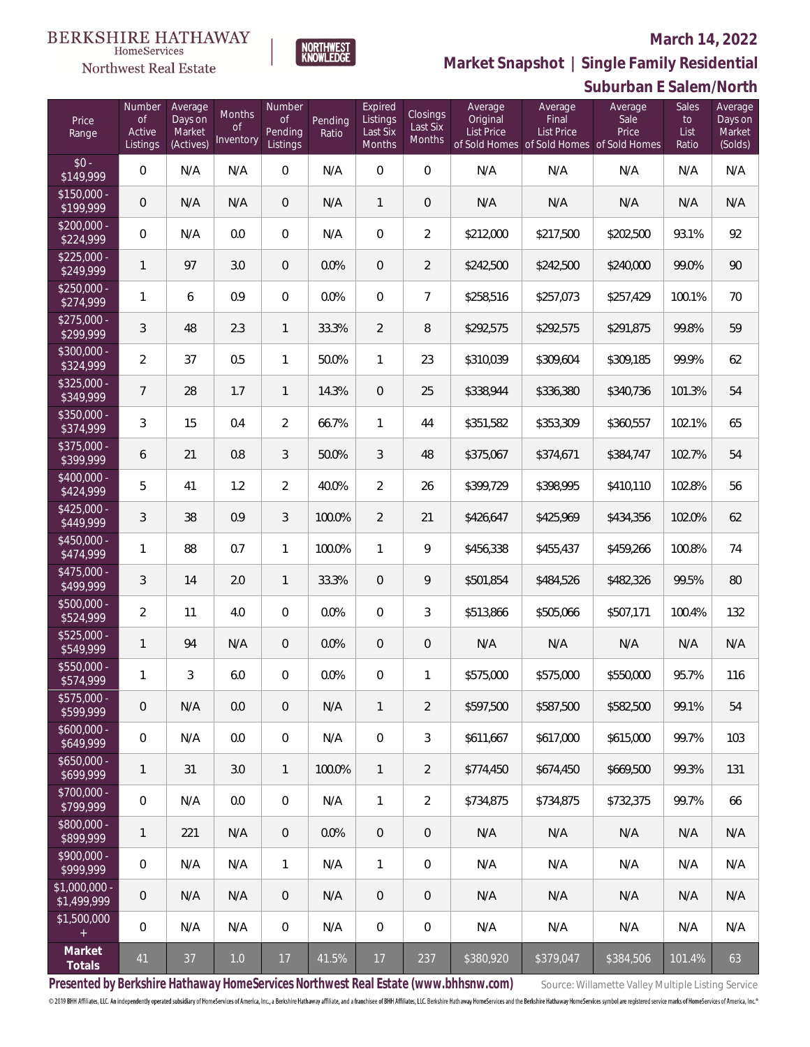## Northwest Real Estate

### **March 14, 2022**



**Suburban E Salem/North Market Snapshot | Single Family Residential**

| Price<br>Range                   | Number<br><b>of</b><br>Active<br>Listings | Average<br>Days on<br>Market<br>(Actives) | <b>Months</b><br><b>of</b><br>Inventory | Number<br>of<br>Pending<br>Listings | Pending<br>Ratio | Expired<br>Listings<br>Last Six<br>Months | Closings<br>Last Six<br><b>Months</b> | Average<br>Original<br><b>List Price</b> | Average<br>Final<br><b>List Price</b><br>of Sold Homes of Sold Homes of Sold Homes | Average<br>Sale<br>Price | Sales<br>to<br>List<br>Ratio | Average<br>Days on<br>Market<br>(Solds) |
|----------------------------------|-------------------------------------------|-------------------------------------------|-----------------------------------------|-------------------------------------|------------------|-------------------------------------------|---------------------------------------|------------------------------------------|------------------------------------------------------------------------------------|--------------------------|------------------------------|-----------------------------------------|
| $$0 -$<br>\$149,999              | 0                                         | N/A                                       | N/A                                     | $\overline{0}$                      | N/A              | $\overline{0}$                            | 0                                     | N/A                                      | N/A                                                                                | N/A                      | N/A                          | N/A                                     |
| $$150,000 -$<br>\$199,999        | 0                                         | N/A                                       | N/A                                     | $\overline{0}$                      | N/A              | $\mathbf{1}$                              | $\mathbf 0$                           | N/A                                      | N/A                                                                                | N/A                      | N/A                          | N/A                                     |
| $$200,000 -$<br>\$224,999        | 0                                         | N/A                                       | 0.0                                     | 0                                   | N/A              | 0                                         | $\overline{2}$                        | \$212,000                                | \$217,500                                                                          | \$202,500                | 93.1%                        | 92                                      |
| $$225,000 -$<br>\$249,999        | $\mathbf{1}$                              | 97                                        | 3.0                                     | $\overline{0}$                      | 0.0%             | $\overline{0}$                            | $\overline{2}$                        | \$242,500                                | \$242,500                                                                          | \$240,000                | 99.0%                        | 90                                      |
| $$250.000 -$<br>\$274,999        | 1                                         | 6                                         | 0.9                                     | 0                                   | 0.0%             | 0                                         | $\overline{7}$                        | \$258,516                                | \$257,073                                                                          | \$257,429                | 100.1%                       | 70                                      |
| $$275,000 -$<br>\$299,999        | 3                                         | 48                                        | 2.3                                     | $\mathbf{1}$                        | 33.3%            | $\overline{2}$                            | 8                                     | \$292,575                                | \$292,575                                                                          | \$291,875                | 99.8%                        | 59                                      |
| $$300.000 -$<br>\$324,999        | $\overline{2}$                            | 37                                        | 0.5                                     | 1                                   | 50.0%            | $\mathbf{1}$                              | 23                                    | \$310,039                                | \$309,604                                                                          | \$309,185                | 99.9%                        | 62                                      |
| $$325,000 -$<br>\$349,999        | $\overline{7}$                            | 28                                        | 1.7                                     | $\mathbf{1}$                        | 14.3%            | $\overline{0}$                            | 25                                    | \$338,944                                | \$336,380                                                                          | \$340,736                | 101.3%                       | 54                                      |
| \$350,000 -<br>\$374,999         | 3                                         | 15                                        | 0.4                                     | $\overline{2}$                      | 66.7%            | 1                                         | 44                                    | \$351,582                                | \$353,309                                                                          | \$360,557                | 102.1%                       | 65                                      |
| \$375,000 -<br>\$399,999         | 6                                         | 21                                        | 0.8                                     | 3                                   | 50.0%            | 3                                         | 48                                    | \$375,067                                | \$374,671                                                                          | \$384,747                | 102.7%                       | 54                                      |
| \$400,000 -<br>\$424,999         | 5                                         | 41                                        | 1.2                                     | $\overline{2}$                      | 40.0%            | $\overline{2}$                            | 26                                    | \$399,729                                | \$398,995                                                                          | \$410,110                | 102.8%                       | 56                                      |
| $$425,000 -$<br>\$449,999        | 3                                         | 38                                        | 0.9                                     | 3                                   | 100.0%           | $\overline{2}$                            | 21                                    | \$426,647                                | \$425,969                                                                          | \$434,356                | 102.0%                       | 62                                      |
| \$450,000 -<br>\$474,999         | 1                                         | 88                                        | 0.7                                     | 1                                   | 100.0%           | $\mathbf{1}$                              | 9                                     | \$456,338                                | \$455,437                                                                          | \$459,266                | 100.8%                       | 74                                      |
| \$475,000 -<br>$\sqrt{$499,999}$ | 3                                         | 14                                        | 2.0                                     | $\mathbf{1}$                        | 33.3%            | $\overline{0}$                            | 9                                     | \$501,854                                | \$484,526                                                                          | \$482,326                | 99.5%                        | 80                                      |
| \$500,000 -<br>\$524,999         | $\overline{2}$                            | 11                                        | 4.0                                     | $\overline{0}$                      | 0.0%             | $\overline{0}$                            | 3                                     | \$513,866                                | \$505,066                                                                          | \$507,171                | 100.4%                       | 132                                     |
| \$525,000 -<br>\$549,999         | $\mathbf{1}$                              | 94                                        | N/A                                     | $\overline{0}$                      | 0.0%             | $\overline{0}$                            | $\mathbf 0$                           | N/A                                      | N/A                                                                                | N/A                      | N/A                          | N/A                                     |
| \$550,000 -<br>\$574,999         | $\mathbf{1}$                              | 3                                         | 6.0                                     | 0                                   | 0.0%             | 0                                         | 1                                     | \$575,000                                | \$575,000                                                                          | \$550,000                | 95.7%                        | 116                                     |
| $$575,000 -$<br>\$599,999        | 0                                         | N/A                                       | 0.0                                     | $\mathbf 0$                         | N/A              | $\mathbf{1}$                              | 2                                     | \$597,500                                | \$587,500                                                                          | \$582.500                | 99.1%                        | 54                                      |
| \$600,000 -<br>\$649,999         | 0                                         | N/A                                       | 0.0                                     | 0                                   | N/A              | 0                                         | 3                                     | \$611,667                                | \$617,000                                                                          | \$615,000                | 99.7%                        | 103                                     |
| \$650,000 -<br>\$699,999         | 1                                         | 31                                        | 3.0                                     | $\mathbf{1}$                        | 100.0%           | $\mathbf{1}$                              | $\overline{2}$                        | \$774,450                                | \$674,450                                                                          | \$669,500                | 99.3%                        | 131                                     |
| \$700,000 -<br>\$799,999         | 0                                         | N/A                                       | 0.0                                     | 0                                   | N/A              | $\mathbf{1}$                              | $\overline{2}$                        | \$734,875                                | \$734,875                                                                          | \$732,375                | 99.7%                        | 66                                      |
| $$800,000 -$<br>\$899,999        | 1                                         | 221                                       | N/A                                     | $\mathbf 0$                         | 0.0%             | $\mathbf 0$                               | 0                                     | N/A                                      | N/A                                                                                | N/A                      | N/A                          | N/A                                     |
| \$900,000 -<br>\$999,999         | 0                                         | N/A                                       | N/A                                     | $\mathbf{1}$                        | N/A              | $\mathbf{1}$                              | 0                                     | N/A                                      | N/A                                                                                | N/A                      | N/A                          | N/A                                     |
| \$1,000,000 -<br>\$1,499,999     | 0                                         | N/A                                       | N/A                                     | $\mathbf 0$                         | N/A              | $\mathbf 0$                               | 0                                     | N/A                                      | N/A                                                                                | N/A                      | N/A                          | N/A                                     |
| \$1,500,000<br>$+$               | 0                                         | N/A                                       | N/A                                     | 0                                   | N/A              | $\boldsymbol{0}$                          | 0                                     | N/A                                      | N/A                                                                                | N/A                      | N/A                          | N/A                                     |
| Market<br>Totals                 | 41                                        | 37                                        | $1.0$                                   | 17                                  | 41.5%            | 17                                        | 237                                   | \$380,920                                | \$379,047                                                                          | \$384,506                | 101.4%                       | 63                                      |

Presented by Berkshire Hathaway HomeServices Northwest Real Estate (www.bhhsnw.com) source: Willamette Valley Multiple Listing Service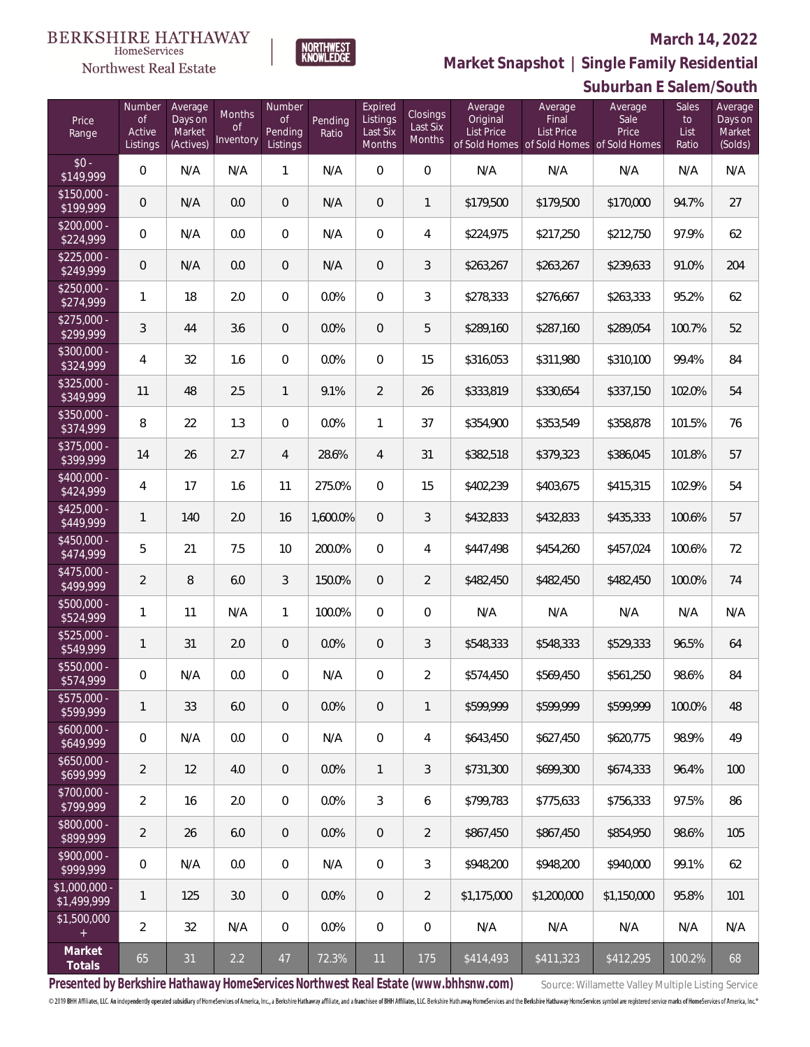## Northwest Real Estate

#### **March 14, 2022**



**Suburban E Salem/South Market Snapshot | Single Family Residential**

| Price<br>Range               | Number<br><b>of</b><br>Active<br>Listings | Average<br>Days on<br>Market<br>(Actives) | Months<br>0f<br>Inventory | Number<br>Οf<br>Pending<br>Listings | Pending<br>Ratio | Expired<br>Listings<br>Last Six<br>Months | Closings<br>Last Six<br><b>Months</b> | Average<br>Original<br><b>List Price</b> | Average<br>Final<br><b>List Price</b><br>of Sold Homes of Sold Homes of Sold Homes | Average<br>Sale<br>Price | Sales<br>to<br>List<br>Ratio | Average<br>Days on<br>Market<br>(Solds) |
|------------------------------|-------------------------------------------|-------------------------------------------|---------------------------|-------------------------------------|------------------|-------------------------------------------|---------------------------------------|------------------------------------------|------------------------------------------------------------------------------------|--------------------------|------------------------------|-----------------------------------------|
| $$0 -$<br>\$149,999          | 0                                         | N/A                                       | N/A                       | $\mathbf{1}$                        | N/A              | $\overline{0}$                            | $\overline{0}$                        | N/A                                      | N/A                                                                                | N/A                      | N/A                          | N/A                                     |
| $$150,000 -$<br>\$199,999    | 0                                         | N/A                                       | 0.0                       | $\overline{0}$                      | N/A              | $\mathbf{0}$                              | $\mathbf{1}$                          | \$179,500                                | \$179,500                                                                          | \$170,000                | 94.7%                        | 27                                      |
| $$200,000 -$<br>\$224,999    | 0                                         | N/A                                       | 0.0                       | $\overline{0}$                      | N/A              | $\mathbf{0}$                              | 4                                     | \$224,975                                | \$217,250                                                                          | \$212,750                | 97.9%                        | 62                                      |
| $$225,000 -$<br>\$249,999    | $\overline{0}$                            | N/A                                       | 0.0                       | $\overline{0}$                      | N/A              | $\mathbf{0}$                              | 3                                     | \$263,267                                | \$263,267                                                                          | \$239,633                | 91.0%                        | 204                                     |
| $$250.000 -$<br>\$274,999    | 1                                         | 18                                        | 2.0                       | $\overline{0}$                      | 0.0%             | $\mathbf{0}$                              | 3                                     | \$278,333                                | \$276,667                                                                          | \$263,333                | 95.2%                        | 62                                      |
| $$275.000 -$<br>\$299,999    | 3                                         | 44                                        | 3.6                       | $\overline{0}$                      | 0.0%             | $\mathbf{0}$                              | 5                                     | \$289,160                                | \$287,160                                                                          | \$289,054                | 100.7%                       | 52                                      |
| $$300,000 -$<br>\$324,999    | 4                                         | 32                                        | 1.6                       | $\mathbf 0$                         | 0.0%             | $\mathbf{0}$                              | 15                                    | \$316,053                                | \$311,980                                                                          | \$310,100                | 99.4%                        | 84                                      |
| $$325,000 -$<br>\$349,999    | 11                                        | 48                                        | 2.5                       | $\mathbf{1}$                        | 9.1%             | $\overline{2}$                            | 26                                    | \$333,819                                | \$330,654                                                                          | \$337,150                | 102.0%                       | 54                                      |
| \$350,000 -<br>\$374,999     | 8                                         | 22                                        | 1.3                       | $\mathsf{O}\xspace$                 | 0.0%             | $\mathbf{1}$                              | 37                                    | \$354,900                                | \$353,549                                                                          | \$358,878                | 101.5%                       | 76                                      |
| \$375,000 -<br>\$399,999     | 14                                        | 26                                        | 2.7                       | $\overline{4}$                      | 28.6%            | $\overline{4}$                            | 31                                    | \$382,518                                | \$379,323                                                                          | \$386,045                | 101.8%                       | 57                                      |
| \$400,000 -<br>\$424,999     | 4                                         | 17                                        | 1.6                       | 11                                  | 275.0%           | $\overline{0}$                            | 15                                    | \$402,239                                | \$403,675                                                                          | \$415,315                | 102.9%                       | 54                                      |
| $$425,000 -$<br>\$449,999    | 1                                         | 140                                       | 2.0                       | 16                                  | 1,600.0%         | $\overline{0}$                            | 3                                     | \$432,833                                | \$432,833                                                                          | \$435,333                | 100.6%                       | 57                                      |
| \$450,000 -<br>\$474,999     | 5                                         | 21                                        | 7.5                       | 10                                  | 200.0%           | $\overline{0}$                            | 4                                     | \$447,498                                | \$454,260                                                                          | \$457,024                | 100.6%                       | 72                                      |
| \$475,000 -<br>\$499,999     | $\overline{2}$                            | 8                                         | 6.0                       | 3                                   | 150.0%           | $\overline{0}$                            | $\overline{2}$                        | \$482,450                                | \$482,450                                                                          | \$482,450                | 100.0%                       | 74                                      |
| $$500,000 -$<br>\$524,999    | 1                                         | 11                                        | N/A                       | 1                                   | 100.0%           | $\overline{0}$                            | $\mathbf 0$                           | N/A                                      | N/A                                                                                | N/A                      | N/A                          | N/A                                     |
| $$525,000 -$<br>\$549,999    | 1                                         | 31                                        | 2.0                       | $\overline{0}$                      | 0.0%             | $\mathbf{0}$                              | 3                                     | \$548,333                                | \$548,333                                                                          | \$529,333                | 96.5%                        | 64                                      |
| \$550,000 -<br>\$574,999     | 0                                         | N/A                                       | $0.0\,$                   | $\mathbf{0}$                        | N/A              | $\overline{0}$                            | $\overline{2}$                        | \$574,450                                | \$569,450                                                                          | \$561,250                | 98.6%                        | 84                                      |
| $$575,000 -$<br>\$599,999    | 1                                         | 33                                        | 6.0                       | $\overline{0}$                      | 0.0%             | $\mathbf 0$                               | $\mathbf{1}$                          | \$599.999                                | \$599.999                                                                          | \$599.999                | 100.0%                       | 48                                      |
| $$600,000 -$<br>\$649,999    | 0                                         | N/A                                       | 0.0                       | $\mathbf 0$                         | N/A              | $\mathbf 0$                               | 4                                     | \$643,450                                | \$627,450                                                                          | \$620,775                | 98.9%                        | 49                                      |
| $$650,000 -$<br>\$699,999    | $\overline{2}$                            | 12                                        | 4.0                       | $\overline{0}$                      | 0.0%             | $\mathbf{1}$                              | 3                                     | \$731,300                                | \$699,300                                                                          | \$674,333                | 96.4%                        | 100                                     |
| $$700,000 -$<br>\$799,999    | $\overline{2}$                            | 16                                        | 2.0                       | $\mathbf 0$                         | 0.0%             | $\mathfrak{Z}$                            | 6                                     | \$799,783                                | \$775,633                                                                          | \$756,333                | 97.5%                        | 86                                      |
| \$800,000 -<br>\$899,999     | $\overline{2}$                            | 26                                        | 6.0                       | $\mathbf{0}$                        | 0.0%             | $\overline{0}$                            | $\overline{2}$                        | \$867,450                                | \$867,450                                                                          | \$854,950                | 98.6%                        | 105                                     |
| \$900,000 -<br>\$999,999     | $\mathbf 0$                               | N/A                                       | 0.0                       | $\mathbf 0$                         | N/A              | $\mathbf 0$                               | 3                                     | \$948,200                                | \$948,200                                                                          | \$940,000                | 99.1%                        | 62                                      |
| \$1,000,000 -<br>\$1,499,999 | 1                                         | 125                                       | 3.0                       | $\overline{0}$                      | 0.0%             | $\overline{0}$                            | $\overline{2}$                        | \$1,175,000                              | \$1,200,000                                                                        | \$1,150,000              | 95.8%                        | 101                                     |
| \$1,500,000<br>$+$           | $\overline{2}$                            | 32                                        | N/A                       | $\mathbf 0$                         | 0.0%             | $\mathbf 0$                               | $\boldsymbol{0}$                      | N/A                                      | N/A                                                                                | N/A                      | N/A                          | N/A                                     |
| Market<br>Totals             | 65                                        | 31                                        | 2.2                       | 47                                  | 72.3%            | 11                                        | 175                                   | \$414,493                                | \$411,323                                                                          | \$412,295                | 100.2%                       | 68                                      |

Presented by Berkshire Hathaway HomeServices Northwest Real Estate (www.bhhsnw.com) Source: Willamette Valley Multiple Listing Service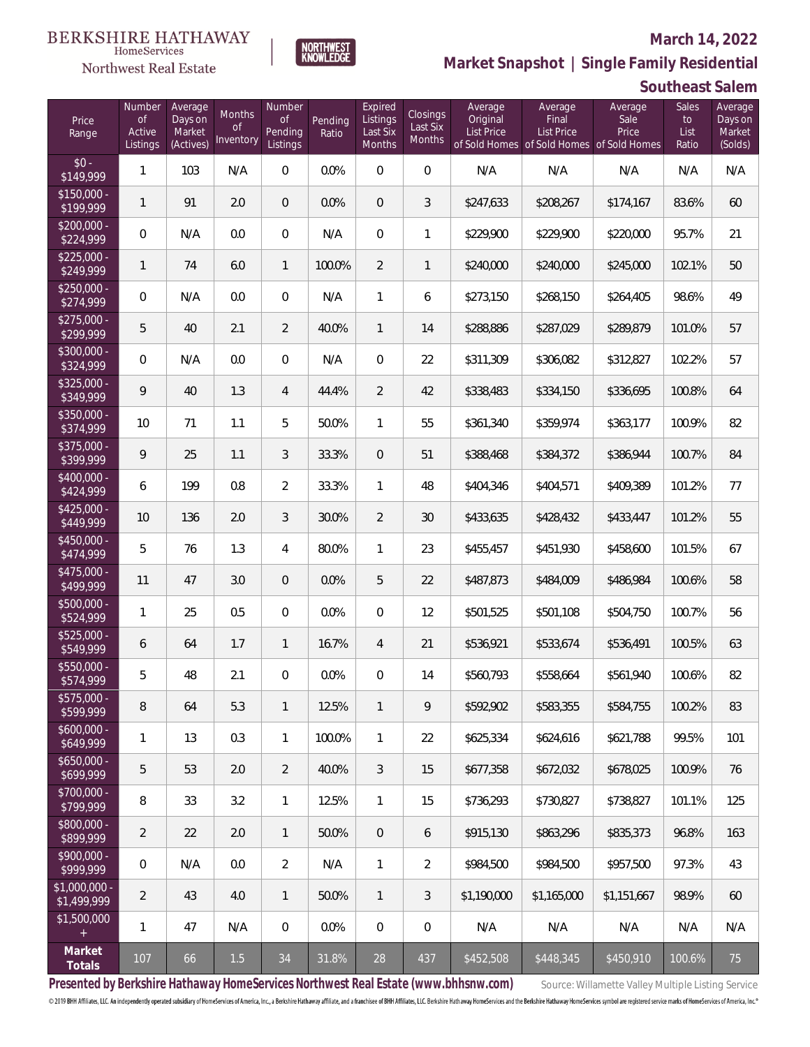### Northwest Real Estate

#### **March 14, 2022**

**Market Snapshot | Single Family Residential**

### **Southeast Salem**

| Price<br>Range                | Number<br><b>of</b><br>Active<br>Listings | Average<br>Days on<br>Market<br>(Actives) | <b>Months</b><br>0f<br>Inventory | Number<br><b>of</b><br>Pending<br>Listings | Pending<br>Ratio | Expired<br>Listings<br>Last Six<br>Months | Closings<br>Last Six<br>Months | Average<br>Original<br><b>List Price</b> | Average<br>Final<br><b>List Price</b> | Average<br>Sale<br>Price<br>of Sold Homes of Sold Homes of Sold Homes | Sales<br>to<br>List<br>Ratio | Average<br>Days on<br>Market<br>(Solds) |
|-------------------------------|-------------------------------------------|-------------------------------------------|----------------------------------|--------------------------------------------|------------------|-------------------------------------------|--------------------------------|------------------------------------------|---------------------------------------|-----------------------------------------------------------------------|------------------------------|-----------------------------------------|
| $$0 -$<br>\$149,999           | $\mathbf{1}$                              | 103                                       | N/A                              | $\overline{0}$                             | 0.0%             | $\Omega$                                  | $\overline{0}$                 | N/A                                      | N/A                                   | N/A                                                                   | N/A                          | N/A                                     |
| $$150,000 -$<br>\$199,999     | $\mathbf{1}$                              | 91                                        | 2.0                              | $\overline{0}$                             | 0.0%             | $\overline{0}$                            | 3                              | \$247,633                                | \$208,267                             | \$174,167                                                             | 83.6%                        | 60                                      |
| $$200,000 -$<br>\$224,999     | $\overline{0}$                            | N/A                                       | 0.0                              | $\overline{0}$                             | N/A              | $\overline{0}$                            | $\mathbf{1}$                   | \$229,900                                | \$229,900                             | \$220,000                                                             | 95.7%                        | 21                                      |
| $$225,000 -$<br>\$249,999     | $\mathbf{1}$                              | 74                                        | 6.0                              | $\mathbf{1}$                               | 100.0%           | $\overline{2}$                            | $\mathbf{1}$                   | \$240,000                                | \$240,000                             | \$245,000                                                             | 102.1%                       | 50                                      |
| $$250,000 -$<br>\$274,999     | $\overline{0}$                            | N/A                                       | 0.0                              | $\overline{0}$                             | N/A              | $\mathbf{1}$                              | 6                              | \$273,150                                | \$268,150                             | \$264,405                                                             | 98.6%                        | 49                                      |
| $$275,000 -$<br>\$299,999     | 5                                         | 40                                        | 2.1                              | $\overline{2}$                             | 40.0%            | $\mathbf{1}$                              | 14                             | \$288,886                                | \$287,029                             | \$289,879                                                             | 101.0%                       | 57                                      |
| $$300,000 -$<br>\$324,999     | $\overline{0}$                            | N/A                                       | 0.0                              | $\overline{0}$                             | N/A              | $\overline{0}$                            | 22                             | \$311,309                                | \$306,082                             | \$312,827                                                             | 102.2%                       | 57                                      |
| $$325,000 -$<br>\$349,999     | 9                                         | 40                                        | 1.3                              | $\overline{4}$                             | 44.4%            | $\overline{2}$                            | 42                             | \$338,483                                | \$334,150                             | \$336,695                                                             | 100.8%                       | 64                                      |
| $$350,000 -$<br>\$374,999     | 10                                        | 71                                        | 1.1                              | 5                                          | 50.0%            | $\mathbf{1}$                              | 55                             | \$361,340                                | \$359,974                             | \$363,177                                                             | 100.9%                       | 82                                      |
| $$375,000 -$<br>\$399,999     | 9                                         | 25                                        | 1.1                              | 3                                          | 33.3%            | $\overline{0}$                            | 51                             | \$388,468                                | \$384,372                             | \$386,944                                                             | 100.7%                       | 84                                      |
| $$400,000 -$<br>\$424,999     | 6                                         | 199                                       | 0.8                              | $\overline{2}$                             | 33.3%            | $\mathbf{1}$                              | 48                             | \$404,346                                | \$404,571                             | \$409,389                                                             | 101.2%                       | 77                                      |
| $$425,000 -$<br>\$449,999     | 10                                        | 136                                       | 2.0                              | 3                                          | 30.0%            | $\overline{2}$                            | 30                             | \$433,635                                | \$428,432                             | \$433,447                                                             | 101.2%                       | 55                                      |
| $$450,000 -$<br>\$474,999     | 5                                         | 76                                        | 1.3                              | $\overline{4}$                             | 80.0%            | $\mathbf{1}$                              | 23                             | \$455,457                                | \$451,930                             | \$458,600                                                             | 101.5%                       | 67                                      |
| $$475,000 -$<br>\$499,999     | 11                                        | 47                                        | 3.0                              | $\overline{0}$                             | 0.0%             | 5                                         | 22                             | \$487,873                                | \$484,009                             | \$486,984                                                             | 100.6%                       | 58                                      |
| $$500,000 -$<br>\$524,999     | $\mathbf{1}$                              | 25                                        | 0.5                              | $\Omega$                                   | 0.0%             | $\Omega$                                  | 12                             | \$501,525                                | \$501,108                             | \$504,750                                                             | 100.7%                       | 56                                      |
| $$525,000 -$<br>\$549,999     | 6                                         | 64                                        | 1.7                              | $\mathbf{1}$                               | 16.7%            | $\overline{4}$                            | 21                             | \$536,921                                | \$533,674                             | \$536,491                                                             | 100.5%                       | 63                                      |
| $$550,000 -$<br>\$574,999     | 5                                         | 48                                        | 2.1                              | $\overline{0}$                             | 0.0%             | $\overline{0}$                            | 14                             | \$560,793                                | \$558,664                             | \$561,940                                                             | 100.6%                       | 82                                      |
| \$575,000 -<br>\$599,999      | 8                                         | 64                                        | 5.3                              | $\mathbf{1}$                               | 12.5%            | $\mathbf{1}$                              | 9                              | \$592,902                                | \$583,355                             | \$584,755                                                             | 100.2%                       | 83                                      |
| $$600,000 -$<br>\$649,999     | $\mathbf{1}$                              | 13                                        | 0.3                              | $\mathbf{1}$                               | 100.0%           | $\mathbf{1}$                              | 22                             | \$625,334                                | \$624,616                             | \$621,788                                                             | 99.5%                        | 101                                     |
| $$650,000 -$<br>\$699,999     | 5                                         | 53                                        | 2.0                              | $\overline{2}$                             | 40.0%            | $\mathfrak{Z}$                            | 15                             | \$677,358                                | \$672,032                             | \$678,025                                                             | 100.9%                       | 76                                      |
| \$700,000 -<br>\$799,999      | 8                                         | 33                                        | 3.2                              | $\mathbf{1}$                               | 12.5%            | $\mathbf{1}$                              | 15                             | \$736,293                                | \$730,827                             | \$738,827                                                             | 101.1%                       | 125                                     |
| \$800,000 -<br>\$899,999      | $\overline{2}$                            | 22                                        | 2.0                              | $\overline{1}$                             | 50.0%            | $\overline{0}$                            | 6                              | \$915,130                                | \$863,296                             | \$835,373                                                             | 96.8%                        | 163                                     |
| \$900,000 -<br>\$999,999      | 0                                         | N/A                                       | 0.0                              | $\overline{2}$                             | N/A              | $\mathbf{1}$                              | $\overline{2}$                 | \$984,500                                | \$984,500                             | \$957,500                                                             | 97.3%                        | 43                                      |
| $$1,000,000$ -<br>\$1,499,999 | $\overline{2}$                            | 43                                        | 4.0                              | $\overline{1}$                             | 50.0%            | $\mathbf{1}$                              | 3                              | \$1,190,000                              | \$1,165,000                           | \$1,151,667                                                           | 98.9%                        | 60                                      |
| \$1,500,000<br>$+$            | $\mathbf{1}$                              | 47                                        | N/A                              | $\mathbf 0$                                | $0.0\%$          | $\mathbf 0$                               | 0                              | N/A                                      | N/A                                   | N/A                                                                   | N/A                          | N/A                                     |
| Market<br>Totals              | 107                                       | 66                                        | $1.5\,$                          | $34\,$                                     | 31.8%            | 28                                        | 437                            | \$452,508                                | \$448,345                             | \$450,910                                                             | 100.6%                       | 75                                      |

NORTHWEST<br>KNOWLFDGF

Presented by Berkshire Hathaway HomeServices Northwest Real Estate (www.bhhsnw.com) source: Willamette Valley Multiple Listing Service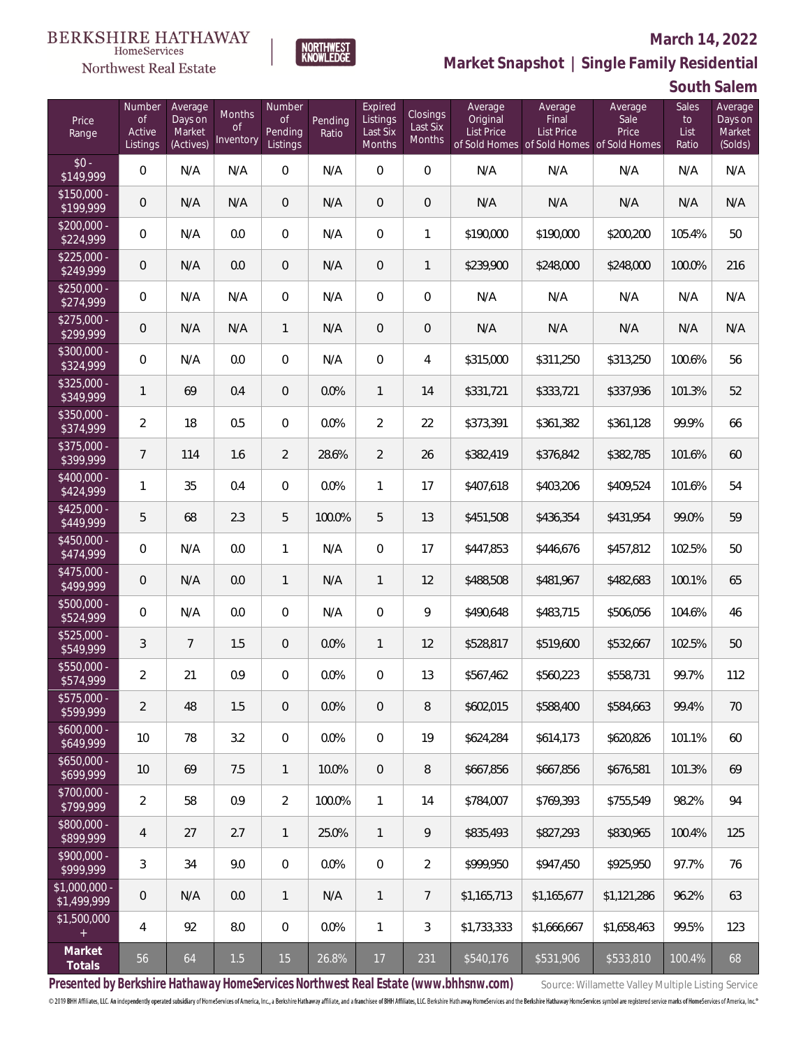# $\begin{array}{llll} \texttt{BERKSHIRE} \texttt{ HATHAWAY} \\ \texttt{\tiny HomeServices} \end{array}$

### Northwest Real Estate

#### **March 14, 2022**



| Price<br>Range               | Number<br><b>of</b><br>Active<br>Listings | Average<br>Days on<br>Market<br>(Actives) | <b>Months</b><br><b>of</b><br>Inventory | Number<br><b>of</b><br>Pending<br>Listings | Pending<br>Ratio | Expired<br>Listings<br>Last Six<br>Months | Closings<br>Last Six<br>Months | Average<br>Original<br><b>List Price</b> | Average<br>Final<br>List Price<br>of Sold Homes of Sold Homes of Sold Homes | Average<br>Sale<br>Price | Sales<br>to<br>List<br>Ratio | Average<br>Days on<br>Market<br>(Solds) |
|------------------------------|-------------------------------------------|-------------------------------------------|-----------------------------------------|--------------------------------------------|------------------|-------------------------------------------|--------------------------------|------------------------------------------|-----------------------------------------------------------------------------|--------------------------|------------------------------|-----------------------------------------|
| $$0 -$<br>\$149,999          | $\overline{0}$                            | N/A                                       | N/A                                     | $\overline{0}$                             | N/A              | $\Omega$                                  | $\mathbf 0$                    | N/A                                      | N/A                                                                         | N/A                      | N/A                          | N/A                                     |
| $$150,000 -$<br>\$199,999    | $\overline{0}$                            | N/A                                       | N/A                                     | $\overline{0}$                             | N/A              | $\overline{0}$                            | $\overline{0}$                 | N/A                                      | N/A                                                                         | N/A                      | N/A                          | N/A                                     |
| $$200,000 -$<br>\$224,999    | $\overline{0}$                            | N/A                                       | 0.0                                     | $\overline{0}$                             | N/A              | $\overline{0}$                            | $\mathbf{1}$                   | \$190,000                                | \$190,000                                                                   | \$200,200                | 105.4%                       | 50                                      |
| $$225,000 -$<br>\$249,999    | $\overline{0}$                            | N/A                                       | 0.0                                     | $\overline{0}$                             | N/A              | $\overline{0}$                            | $\mathbf{1}$                   | \$239,900                                | \$248,000                                                                   | \$248,000                | 100.0%                       | 216                                     |
| $$250,000 -$<br>\$274,999    | $\overline{0}$                            | N/A                                       | N/A                                     | $\overline{0}$                             | N/A              | $\overline{0}$                            | $\overline{0}$                 | N/A                                      | N/A                                                                         | N/A                      | N/A                          | N/A                                     |
| $$275,000 -$<br>\$299,999    | $\overline{0}$                            | N/A                                       | N/A                                     | $\mathbf{1}$                               | N/A              | $\overline{0}$                            | $\mathbf 0$                    | N/A                                      | N/A                                                                         | N/A                      | N/A                          | N/A                                     |
| $$300,000 -$<br>\$324,999    | $\overline{0}$                            | N/A                                       | 0.0                                     | $\overline{0}$                             | N/A              | $\Omega$                                  | 4                              | \$315,000                                | \$311,250                                                                   | \$313,250                | 100.6%                       | 56                                      |
| $$325,000 -$<br>\$349,999    | $\mathbf{1}$                              | 69                                        | 0.4                                     | $\overline{0}$                             | 0.0%             | $\mathbf{1}$                              | 14                             | \$331,721                                | \$333,721                                                                   | \$337,936                | 101.3%                       | 52                                      |
| $$350,000 -$<br>\$374,999    | $\overline{2}$                            | 18                                        | 0.5                                     | $\Omega$                                   | 0.0%             | $\overline{2}$                            | 22                             | \$373,391                                | \$361,382                                                                   | \$361,128                | 99.9%                        | 66                                      |
| $$375,000 -$<br>\$399,999    | $\overline{7}$                            | 114                                       | 1.6                                     | $\overline{2}$                             | 28.6%            | $\overline{2}$                            | 26                             | \$382,419                                | \$376,842                                                                   | \$382,785                | 101.6%                       | 60                                      |
| $$400,000 -$<br>\$424,999    | 1                                         | 35                                        | 0.4                                     | $\overline{0}$                             | 0.0%             | $\mathbf{1}$                              | 17                             | \$407,618                                | \$403,206                                                                   | \$409,524                | 101.6%                       | 54                                      |
| $$425,000 -$<br>\$449,999    | 5                                         | 68                                        | 2.3                                     | 5                                          | 100.0%           | 5                                         | 13                             | \$451,508                                | \$436,354                                                                   | \$431,954                | 99.0%                        | 59                                      |
| $$450,000 -$<br>\$474,999    | $\mathsf{O}\xspace$                       | N/A                                       | 0.0                                     | $\mathbf{1}$                               | N/A              | $\overline{0}$                            | 17                             | \$447,853                                | \$446,676                                                                   | \$457,812                | 102.5%                       | 50                                      |
| $$475,000 -$<br>\$499,999    | $\overline{0}$                            | N/A                                       | 0.0                                     | $\mathbf{1}$                               | N/A              | $\mathbf{1}$                              | 12                             | \$488,508                                | \$481,967                                                                   | \$482,683                | 100.1%                       | 65                                      |
| $$500,000 -$<br>\$524,999    | $\overline{0}$                            | N/A                                       | 0.0                                     | $\overline{0}$                             | N/A              | $\overline{0}$                            | 9                              | \$490,648                                | \$483,715                                                                   | \$506,056                | 104.6%                       | 46                                      |
| $$525,000 -$<br>\$549,999    | 3                                         | $7\overline{ }$                           | 1.5                                     | $\mathbf{0}$                               | 0.0%             | $\mathbf{1}$                              | 12                             | \$528,817                                | \$519,600                                                                   | \$532,667                | 102.5%                       | 50                                      |
| \$550,000 -<br>\$574,999     | $\overline{2}$                            | 21                                        | 0.9                                     | $\Omega$                                   | 0.0%             | $\overline{0}$                            | 13                             | \$567,462                                | \$560,223                                                                   | \$558,731                | 99.7%                        | 112                                     |
| \$575,000 -<br>\$599,999     | 2                                         | 48                                        | 1.5                                     | $\mathbf 0$                                | 0.0%             | $\overline{0}$                            | 8                              | \$602,015                                | \$588,400                                                                   | \$584,663                | 99.4%                        | 70                                      |
| $$600,000 -$<br>\$649,999    | 10                                        | 78                                        | 3.2                                     | $\mathbf 0$                                | 0.0%             | $\mathbf 0$                               | 19                             | \$624,284                                | \$614,173                                                                   | \$620,826                | 101.1%                       | 60                                      |
| $$650,000 -$<br>\$699,999    | 10                                        | 69                                        | 7.5                                     | $\mathbf{1}$                               | 10.0%            | $\overline{0}$                            | 8                              | \$667,856                                | \$667,856                                                                   | \$676,581                | 101.3%                       | 69                                      |
| \$700,000 -<br>\$799,999     | $\overline{2}$                            | 58                                        | 0.9                                     | $\overline{2}$                             | 100.0%           | $\mathbf{1}$                              | 14                             | \$784,007                                | \$769,393                                                                   | \$755,549                | 98.2%                        | 94                                      |
| \$800,000 -<br>\$899,999     | 4                                         | 27                                        | 2.7                                     | $\overline{1}$                             | 25.0%            | $\mathbf{1}$                              | 9                              | \$835,493                                | \$827,293                                                                   | \$830,965                | 100.4%                       | 125                                     |
| \$900,000 -<br>\$999,999     | 3                                         | 34                                        | 9.0                                     | $\mathbf 0$                                | 0.0%             | $\overline{0}$                            | $\overline{2}$                 | \$999,950                                | \$947,450                                                                   | \$925,950                | 97.7%                        | 76                                      |
| \$1,000,000 -<br>\$1,499,999 | $\mathbf 0$                               | N/A                                       | 0.0                                     | $\mathbf{1}$                               | N/A              | $\mathbf{1}$                              | $7\overline{ }$                | \$1,165,713                              | \$1,165,677                                                                 | \$1,121,286              | 96.2%                        | 63                                      |
| \$1,500,000<br>$+$           | 4                                         | 92                                        | $8.0\,$                                 | $\,0\,$                                    | 0.0%             | $\mathbf{1}$                              | $\mathfrak{Z}$                 | \$1,733,333                              | \$1,666,667                                                                 | \$1,658,463              | 99.5%                        | 123                                     |
| Market<br>Totals             | 56                                        | 64                                        | 1.5                                     | 15                                         | 26.8%            | $17\,$                                    | 231                            | \$540,176                                | \$531,906                                                                   | \$533,810                | 100.4%                       | 68                                      |

NORTHWEST<br>KNOWLFDGF

Presented by Berkshire Hathaway HomeServices Northwest Real Estate (www.bhhsnw.com) source: Willamette Valley Multiple Listing Service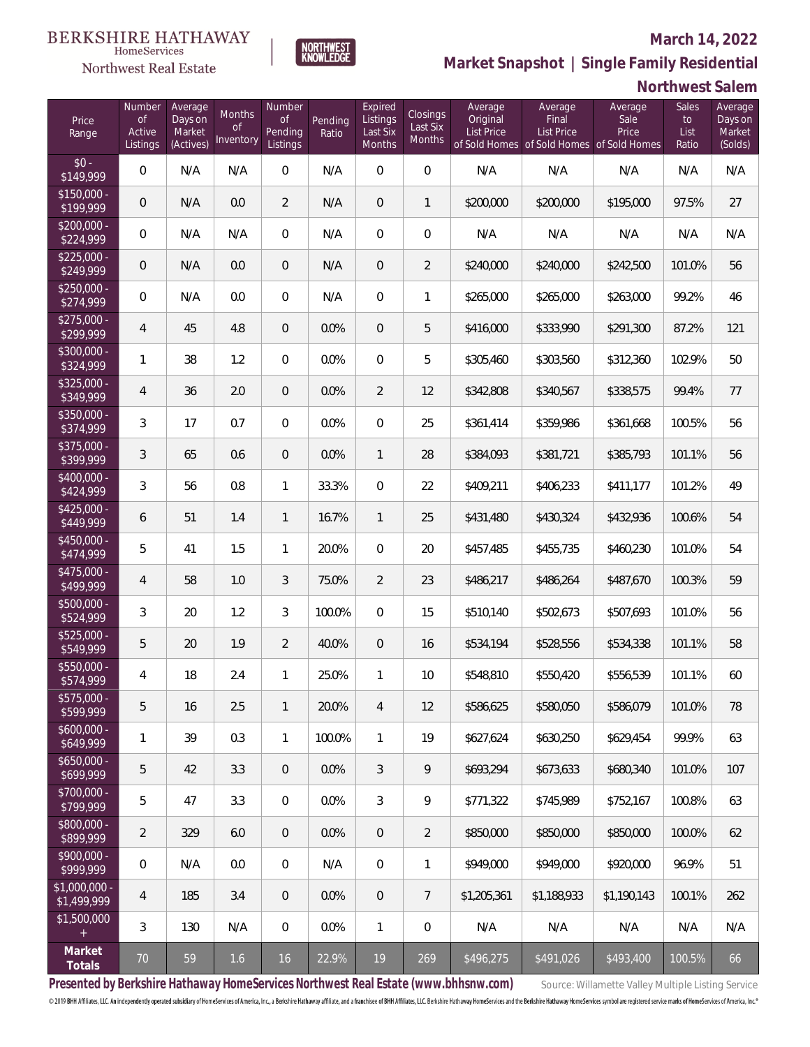#### **March 14, 2022**



Northwest Real Estate

**Market Snapshot | Single Family Residential**

#### **Northwest Salem**

| Price<br>Range                | Number<br><b>of</b><br>Active<br>Listings | Average<br>Days on<br>Market<br>(Actives) | Months<br><b>of</b><br>Inventory | <b>Number</b><br><b>of</b><br>Pending<br>Listings | Pending<br>Ratio | Expired<br>Listings<br>Last Six<br>Months | Closings<br>Last Six<br>Months | Average<br>Original<br>List Price | Average<br>Final<br>List Price<br>of Sold Homes of Sold Homes of Sold Homes | Average<br>Sale<br>Price | <b>Sales</b><br>to<br>List<br>Ratio | Average<br>Days on<br>Market<br>(Solds) |
|-------------------------------|-------------------------------------------|-------------------------------------------|----------------------------------|---------------------------------------------------|------------------|-------------------------------------------|--------------------------------|-----------------------------------|-----------------------------------------------------------------------------|--------------------------|-------------------------------------|-----------------------------------------|
| $$0 -$<br>\$149,999           | $\overline{0}$                            | N/A                                       | N/A                              | $\overline{0}$                                    | N/A              | $\Omega$                                  | $\overline{0}$                 | N/A                               | N/A                                                                         | N/A                      | N/A                                 | N/A                                     |
| $$150,000 -$<br>\$199,999     | $\overline{0}$                            | N/A                                       | 0.0                              | $\overline{2}$                                    | N/A              | $\Omega$                                  | 1                              | \$200,000                         | \$200,000                                                                   | \$195,000                | 97.5%                               | 27                                      |
| \$200,000 -<br>\$224,999      | $\overline{0}$                            | N/A                                       | N/A                              | $\overline{0}$                                    | N/A              | $\Omega$                                  | $\overline{0}$                 | N/A                               | N/A                                                                         | N/A                      | N/A                                 | N/A                                     |
| $$225,000 -$<br>\$249,999     | $\overline{0}$                            | N/A                                       | 0.0                              | $\overline{0}$                                    | N/A              | $\Omega$                                  | $\overline{2}$                 | \$240,000                         | \$240,000                                                                   | \$242,500                | 101.0%                              | 56                                      |
| $$250,000 -$<br>\$274,999     | $\overline{0}$                            | N/A                                       | 0.0                              | $\overline{0}$                                    | N/A              | $\Omega$                                  | 1                              | \$265,000                         | \$265,000                                                                   | \$263,000                | 99.2%                               | 46                                      |
| $$275,000 -$<br>\$299,999     | $\overline{4}$                            | 45                                        | 4.8                              | $\overline{0}$                                    | 0.0%             | $\Omega$                                  | 5                              | \$416,000                         | \$333,990                                                                   | \$291,300                | 87.2%                               | 121                                     |
| \$300,000 -<br>\$324,999      | $\mathbf{1}$                              | 38                                        | 1.2                              | $\overline{0}$                                    | 0.0%             | $\Omega$                                  | 5                              | \$305,460                         | \$303,560                                                                   | \$312,360                | 102.9%                              | 50                                      |
| $$325,000 -$<br>\$349,999     | $\overline{4}$                            | 36                                        | 2.0                              | $\overline{0}$                                    | 0.0%             | $\overline{2}$                            | 12                             | \$342,808                         | \$340,567                                                                   | \$338,575                | 99.4%                               | 77                                      |
| $$350,000 -$<br>\$374,999     | 3                                         | 17                                        | 0.7                              | $\overline{0}$                                    | 0.0%             | $\Omega$                                  | 25                             | \$361,414                         | \$359,986                                                                   | \$361,668                | 100.5%                              | 56                                      |
| $$375,000 -$<br>\$399,999     | 3                                         | 65                                        | 0.6                              | $\overline{0}$                                    | 0.0%             | $\mathbf{1}$                              | 28                             | \$384,093                         | \$381,721                                                                   | \$385,793                | 101.1%                              | 56                                      |
| $$400,000 -$<br>\$424,999     | 3                                         | 56                                        | 0.8                              | $\mathbf{1}$                                      | 33.3%            | $\Omega$                                  | 22                             | \$409,211                         | \$406,233                                                                   | \$411,177                | 101.2%                              | 49                                      |
| $$425,000 -$<br>\$449,999     | 6                                         | 51                                        | 1.4                              | $\mathbf{1}$                                      | 16.7%            | $\mathbf{1}$                              | 25                             | \$431,480                         | \$430,324                                                                   | \$432,936                | 100.6%                              | 54                                      |
| $$450,000 -$<br>\$474,999     | 5                                         | 41                                        | 1.5                              | 1                                                 | 20.0%            | $\overline{0}$                            | 20                             | \$457,485                         | \$455,735                                                                   | \$460,230                | 101.0%                              | 54                                      |
| $$475,000 -$<br>\$499,999     | 4                                         | 58                                        | 1.0                              | 3                                                 | 75.0%            | $\overline{2}$                            | 23                             | \$486,217                         | \$486,264                                                                   | \$487,670                | 100.3%                              | 59                                      |
| $$500,000 -$<br>\$524,999     | $\mathfrak{Z}$                            | 20                                        | 1.2                              | 3                                                 | 100.0%           | $\Omega$                                  | 15                             | \$510,140                         | \$502,673                                                                   | \$507,693                | 101.0%                              | 56                                      |
| $$525,000 -$<br>\$549,999     | 5                                         | 20                                        | 1.9                              | $\overline{2}$                                    | 40.0%            | $\overline{0}$                            | 16                             | \$534,194                         | \$528,556                                                                   | \$534,338                | 101.1%                              | 58                                      |
| \$550,000 -<br>\$574,999      | 4                                         | 18                                        | 2.4                              | 1                                                 | 25.0%            | 1                                         | 10                             | \$548,810                         | \$550,420                                                                   | \$556,539                | 101.1%                              | 60                                      |
| $$575,000 -$<br>\$599,999     | 5                                         | 16                                        | 2.5                              | $\mathbf{1}$                                      | 20.0%            | $\overline{4}$                            | 12                             | \$586,625                         | \$580,050                                                                   | \$586,079                | 101.0%                              | 78                                      |
| $$600,000 -$<br>\$649,999     | $\mathbf{1}$                              | 39                                        | 0.3                              | 1                                                 | 100.0%           | $\mathbf{1}$                              | 19                             | \$627,624                         | \$630,250                                                                   | \$629,454                | 99.9%                               | 63                                      |
| $$650,000 -$<br>\$699,999     | 5                                         | 42                                        | 3.3                              | $\overline{0}$                                    | 0.0%             | 3                                         | 9                              | \$693,294                         | \$673,633                                                                   | \$680,340                | 101.0%                              | 107                                     |
| \$700,000 -<br>\$799,999      | 5                                         | 47                                        | 3.3                              | 0                                                 | 0.0%             | $\mathfrak{Z}$                            | 9                              | \$771,322                         | \$745,989                                                                   | \$752,167                | 100.8%                              | 63                                      |
| \$800,000 -<br>\$899,999      | $\overline{2}$                            | 329                                       | 6.0                              | $\overline{0}$                                    | 0.0%             | $\mathbf 0$                               | $\overline{2}$                 | \$850,000                         | \$850,000                                                                   | \$850,000                | 100.0%                              | 62                                      |
| \$900,000 -<br>\$999,999      | $\boldsymbol{0}$                          | N/A                                       | 0.0                              | 0                                                 | N/A              | $\boldsymbol{0}$                          | $\mathbf{1}$                   | \$949,000                         | \$949,000                                                                   | \$920,000                | 96.9%                               | 51                                      |
| $$1,000,000$ -<br>\$1,499,999 | 4                                         | 185                                       | 3.4                              | $\overline{0}$                                    | 0.0%             | $\mathbf 0$                               | $7\phantom{.}$                 | \$1,205,361                       | \$1,188,933                                                                 | \$1,190,143              | 100.1%                              | 262                                     |
| \$1,500,000<br>$+$            | 3                                         | 130                                       | N/A                              | 0                                                 | 0.0%             | 1                                         | 0                              | N/A                               | N/A                                                                         | N/A                      | N/A                                 | N/A                                     |
| Market<br>Totals              | $70\,$                                    | 59                                        | 1.6                              | 16                                                | 22.9%            | 19                                        | 269                            | \$496,275                         | \$491,026                                                                   | \$493,400                | 100.5%                              | 66                                      |

Presented by Berkshire Hathaway HomeServices Northwest Real Estate (www.bhhsnw.com) source: Willamette Valley Multiple Listing Service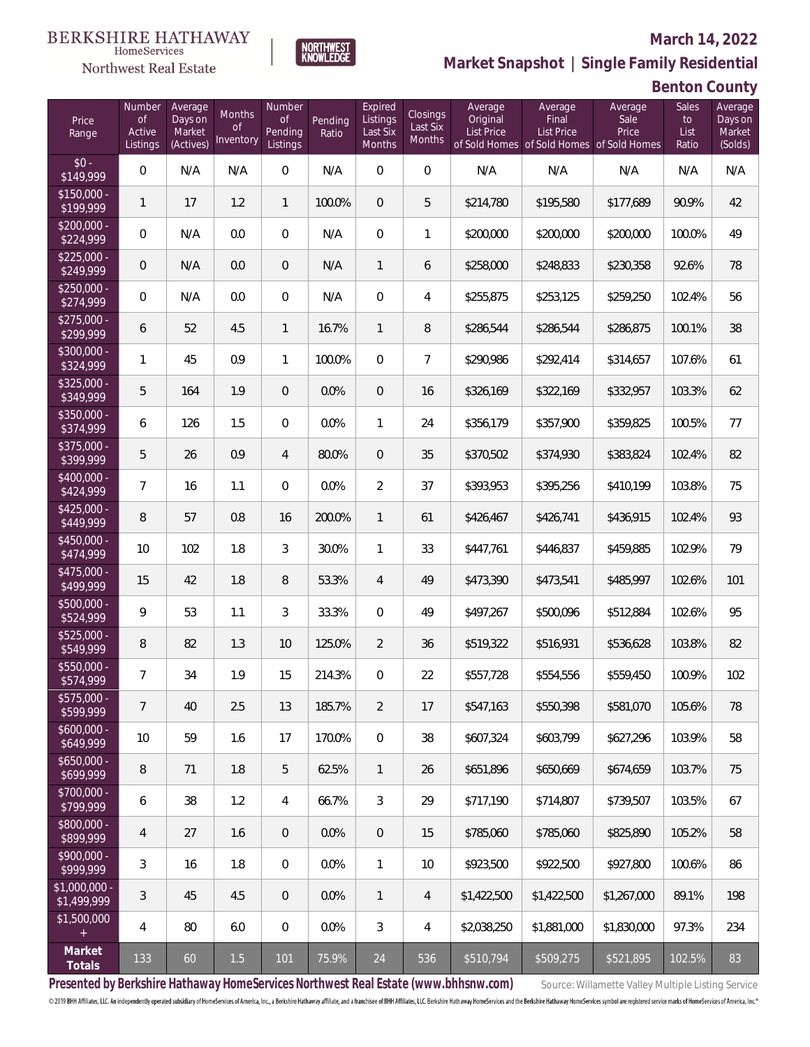### Northwest Real Estate

#### **March 14, 2022**



**Benton County**

| Price<br>Range                | Number<br><b>of</b><br>Active<br>Listings | Average<br>Days on<br>Market<br>(Actives) | Months<br><b>of</b><br>Inventory | Number<br><b>of</b><br>Pending<br>Listings | Pending<br>Ratio | Expired<br>Listings<br>Last Six<br>Months | Closings<br>Last Six<br>Months | Average<br>Original<br><b>List Price</b> | Average<br>Final<br><b>List Price</b> | Average<br>Sale<br>Price<br>of Sold Homes of Sold Homes of Sold Homes | Sales<br>to<br>List<br>Ratio | Average<br>Days on<br>Market<br>(Solds) |
|-------------------------------|-------------------------------------------|-------------------------------------------|----------------------------------|--------------------------------------------|------------------|-------------------------------------------|--------------------------------|------------------------------------------|---------------------------------------|-----------------------------------------------------------------------|------------------------------|-----------------------------------------|
| $$0 -$<br>\$149,999           | $\overline{0}$                            | N/A                                       | N/A                              | $\overline{0}$                             | N/A              | $\bigcirc$                                | $\overline{0}$                 | N/A                                      | N/A                                   | N/A                                                                   | N/A                          | N/A                                     |
| $$150,000 -$<br>\$199,999     | $\mathbf{1}$                              | 17                                        | 1.2                              | $\mathbf{1}$                               | 100.0%           | $\overline{0}$                            | 5                              | \$214,780                                | \$195,580                             | \$177,689                                                             | 90.9%                        | 42                                      |
| $$200,000 -$<br>\$224,999     | $\mathsf{O}\xspace$                       | N/A                                       | 0.0                              | $\mathbf{0}$                               | N/A              | $\overline{0}$                            | $\mathbf{1}$                   | \$200,000                                | \$200,000                             | \$200,000                                                             | 100.0%                       | 49                                      |
| $$225,000 -$<br>\$249,999     | $\overline{0}$                            | N/A                                       | 0.0                              | $\overline{0}$                             | N/A              | $\mathbf{1}$                              | 6                              | \$258,000                                | \$248,833                             | \$230,358                                                             | 92.6%                        | 78                                      |
| $$250,000 -$<br>\$274,999     | $\overline{0}$                            | N/A                                       | 0.0                              | $\mathbf{0}$                               | N/A              | $\Omega$                                  | 4                              | \$255,875                                | \$253,125                             | \$259,250                                                             | 102.4%                       | 56                                      |
| $$275,000 -$<br>\$299,999     | 6                                         | 52                                        | 4.5                              | $\mathbf{1}$                               | 16.7%            | $\mathbf{1}$                              | 8                              | \$286,544                                | \$286,544                             | \$286,875                                                             | 100.1%                       | 38                                      |
| $$300,000 -$<br>\$324,999     | 1                                         | 45                                        | 0.9                              | $\mathbf{1}$                               | 100.0%           | $\overline{0}$                            | $\overline{7}$                 | \$290,986                                | \$292,414                             | \$314,657                                                             | 107.6%                       | 61                                      |
| $$325,000 -$<br>\$349,999     | 5                                         | 164                                       | 1.9                              | $\mathbf{0}$                               | 0.0%             | $\overline{0}$                            | 16                             | \$326,169                                | \$322,169                             | \$332,957                                                             | 103.3%                       | 62                                      |
| $$350,000 -$<br>\$374,999     | 6                                         | 126                                       | 1.5                              | $\overline{0}$                             | 0.0%             | $\mathbf{1}$                              | 24                             | \$356,179                                | \$357,900                             | \$359,825                                                             | 100.5%                       | 77                                      |
| $$375,000 -$<br>\$399,999     | 5                                         | 26                                        | 0.9                              | $\overline{4}$                             | 80.0%            | $\overline{0}$                            | 35                             | \$370,502                                | \$374,930                             | \$383,824                                                             | 102.4%                       | 82                                      |
| $$400,000 -$<br>\$424,999     | $\overline{7}$                            | 16                                        | 1.1                              | $\Omega$                                   | 0.0%             | $\overline{2}$                            | 37                             | \$393,953                                | \$395,256                             | \$410,199                                                             | 103.8%                       | 75                                      |
| $$425,000 -$<br>\$449,999     | 8                                         | 57                                        | 0.8                              | 16                                         | 200.0%           | $\mathbf{1}$                              | 61                             | \$426,467                                | \$426,741                             | \$436,915                                                             | 102.4%                       | 93                                      |
| $$450,000 -$<br>\$474,999     | 10                                        | 102                                       | 1.8                              | 3                                          | 30.0%            | $\mathbf{1}$                              | 33                             | \$447,761                                | \$446,837                             | \$459,885                                                             | 102.9%                       | 79                                      |
| \$475,000 -<br>\$499,999      | 15                                        | 42                                        | 1.8                              | 8                                          | 53.3%            | $\overline{4}$                            | 49                             | \$473,390                                | \$473,541                             | \$485,997                                                             | 102.6%                       | 101                                     |
| $$500,000 -$<br>\$524,999     | 9                                         | 53                                        | 1.1                              | $\mathcal{S}$                              | 33.3%            | $\Omega$                                  | 49                             | \$497,267                                | \$500,096                             | \$512,884                                                             | 102.6%                       | 95                                      |
| $$525,000 -$<br>\$549,999     | 8                                         | 82                                        | 1.3                              | 10                                         | 125.0%           | $\overline{2}$                            | 36                             | \$519,322                                | \$516,931                             | \$536,628                                                             | 103.8%                       | 82                                      |
| $$550,000 -$<br>\$574,999     | 7                                         | 34                                        | 1.9                              | 15                                         | 214.3%           | $\Omega$                                  | 22                             | \$557,728                                | \$554,556                             | \$559,450                                                             | 100.9%                       | 102                                     |
| \$575,000 -<br>\$599,999      | 7                                         | 40                                        | 2.5                              | 13                                         | 185.7%           | $\overline{2}$                            | 17                             | \$547,163                                | \$550,398                             | \$581,070                                                             | 105.6%                       | 78                                      |
| $$600,000 -$<br>\$649,999     | 10                                        | 59                                        | 1.6                              | 17                                         | 170.0%           | $\overline{0}$                            | 38                             | \$607,324                                | \$603,799                             | \$627,296                                                             | 103.9%                       | 58                                      |
| $$650,000 -$<br>\$699,999     | 8                                         | 71                                        | 1.8                              | 5                                          | 62.5%            | $\mathbf{1}$                              | 26                             | \$651,896                                | \$650,669                             | \$674,659                                                             | 103.7%                       | 75                                      |
| \$700,000 -<br>\$799,999      | 6                                         | 38                                        | 1.2                              | 4                                          | 66.7%            | 3                                         | 29                             | \$717,190                                | \$714,807                             | \$739,507                                                             | 103.5%                       | 67                                      |
| \$800,000 -<br>\$899,999      | 4                                         | 27                                        | 1.6                              | $\mathbf{0}$                               | 0.0%             | $\overline{0}$                            | 15                             | \$785,060                                | \$785,060                             | \$825,890                                                             | 105.2%                       | 58                                      |
| \$900,000 -<br>\$999,999      | 3                                         | 16                                        | 1.8                              | $\mathbf 0$                                | 0.0%             | $\mathbf{1}$                              | 10                             | \$923,500                                | \$922,500                             | \$927,800                                                             | 100.6%                       | 86                                      |
| $$1,000,000$ -<br>\$1,499,999 | 3                                         | 45                                        | 4.5                              | $\mathbf{0}$                               | 0.0%             | $\mathbf{1}$                              | $\overline{4}$                 | \$1,422,500                              | \$1,422,500                           | \$1,267,000                                                           | 89.1%                        | 198                                     |
| \$1,500,000<br>$+$            | 4                                         | 80                                        | $6.0\,$                          | $\mathbf 0$                                | 0.0%             | 3                                         | 4                              | \$2,038,250                              | \$1,881,000                           | \$1,830,000                                                           | 97.3%                        | 234                                     |
| Market<br>Totals              | 133                                       | 60                                        | $1.5\,$                          | 101                                        | 75.9%            | 24                                        | 536                            | \$510,794                                | \$509,275                             | \$521,895                                                             | 102.5%                       | 83                                      |

NORTHWEST<br>KNOWLFDGF

Presented by Berkshire Hathaway HomeServices Northwest Real Estate (www.bhhsnw.com) source: Willamette Valley Multiple Listing Service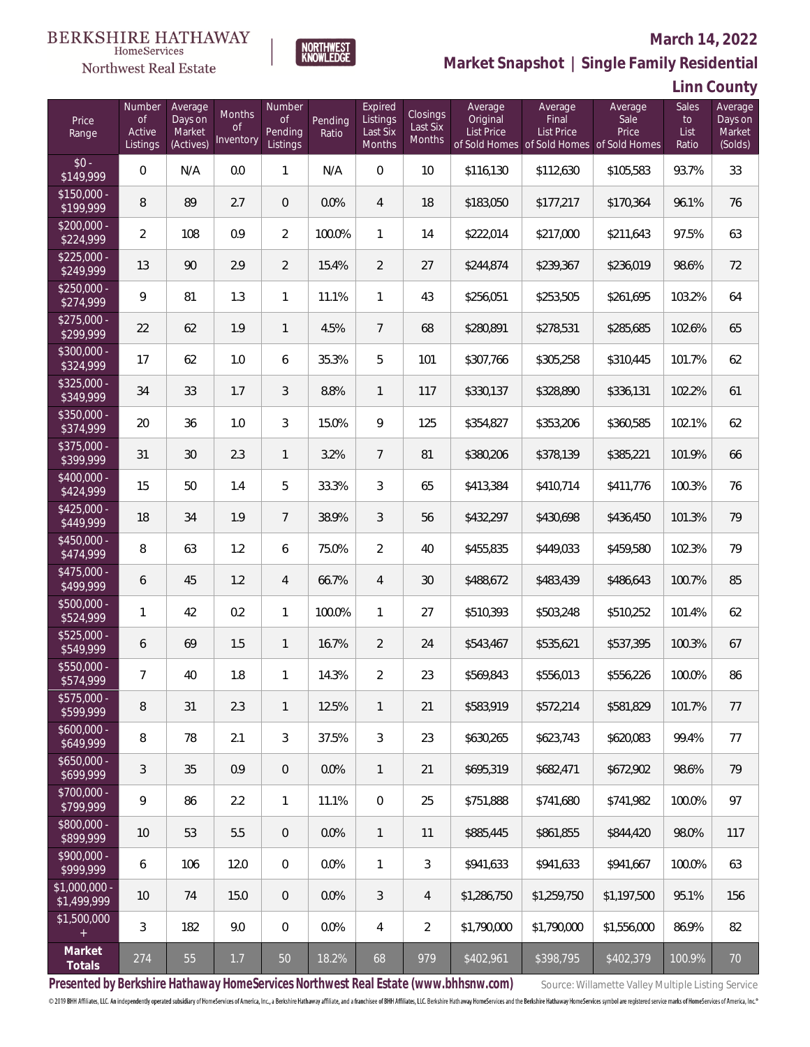

#### **March 14, 2022**

**Market Snapshot | Single Family Residential**

# **Linn County**

| Price<br>Range               | Number<br><b>of</b><br>Active<br>Listings | Average<br>Days on<br>Market<br>(Actives) | Months<br><b>of</b><br>Inventory | Number<br><b>of</b><br>Pending<br>Listings | Pending<br>Ratio | Expired<br>Listings<br>Last Six<br>Months | Closings<br>Last Six<br>Months | Average<br>Original<br><b>List Price</b> | Average<br>Final<br><b>List Price</b> | Average<br>Sale<br>Price<br>of Sold Homes of Sold Homes of Sold Homes | Sales<br>to<br>List<br>Ratio | Average<br>Days on<br>Market<br>(Solds) |
|------------------------------|-------------------------------------------|-------------------------------------------|----------------------------------|--------------------------------------------|------------------|-------------------------------------------|--------------------------------|------------------------------------------|---------------------------------------|-----------------------------------------------------------------------|------------------------------|-----------------------------------------|
| $$0 -$<br>\$149,999          | $\overline{0}$                            | N/A                                       | 0.0                              | $\mathbf{1}$                               | N/A              | $\overline{0}$                            | 10                             | \$116,130                                | \$112,630                             | \$105,583                                                             | 93.7%                        | 33                                      |
| $$150,000 -$<br>\$199,999    | 8                                         | 89                                        | 2.7                              | $\overline{0}$                             | 0.0%             | $\overline{4}$                            | 18                             | \$183,050                                | \$177,217                             | \$170,364                                                             | 96.1%                        | 76                                      |
| $$200,000 -$<br>\$224,999    | $\overline{2}$                            | 108                                       | 0.9                              | $\overline{2}$                             | 100.0%           | $\mathbf{1}$                              | 14                             | \$222,014                                | \$217,000                             | \$211,643                                                             | 97.5%                        | 63                                      |
| $$225,000 -$<br>\$249,999    | 13                                        | 90                                        | 2.9                              | $\overline{2}$                             | 15.4%            | $\overline{2}$                            | 27                             | \$244,874                                | \$239,367                             | \$236,019                                                             | 98.6%                        | 72                                      |
| $$250,000 -$<br>\$274,999    | 9                                         | 81                                        | 1.3                              | 1                                          | 11.1%            | 1                                         | 43                             | \$256,051                                | \$253,505                             | \$261,695                                                             | 103.2%                       | 64                                      |
| $$275,000 -$<br>\$299,999    | 22                                        | 62                                        | 1.9                              | $\mathbf{1}$                               | 4.5%             | $\overline{7}$                            | 68                             | \$280,891                                | \$278,531                             | \$285,685                                                             | 102.6%                       | 65                                      |
| $$300,000 -$<br>\$324,999    | 17                                        | 62                                        | 1.0                              | 6                                          | 35.3%            | 5                                         | 101                            | \$307,766                                | \$305,258                             | \$310,445                                                             | 101.7%                       | 62                                      |
| $$325,000 -$<br>\$349,999    | 34                                        | 33                                        | 1.7                              | 3                                          | 8.8%             | $\mathbf{1}$                              | 117                            | \$330,137                                | \$328,890                             | \$336,131                                                             | 102.2%                       | 61                                      |
| $$350,000 -$<br>\$374,999    | 20                                        | 36                                        | 1.0                              | 3                                          | 15.0%            | 9                                         | 125                            | \$354,827                                | \$353,206                             | \$360,585                                                             | 102.1%                       | 62                                      |
| $$375,000 -$<br>\$399,999    | 31                                        | 30                                        | 2.3                              | $\mathbf{1}$                               | 3.2%             | $\overline{7}$                            | 81                             | \$380,206                                | \$378,139                             | \$385,221                                                             | 101.9%                       | 66                                      |
| $$400,000 -$<br>\$424,999    | 15                                        | 50                                        | 1.4                              | 5                                          | 33.3%            | 3                                         | 65                             | \$413,384                                | \$410,714                             | \$411,776                                                             | 100.3%                       | 76                                      |
| $$425,000 -$<br>\$449,999    | 18                                        | 34                                        | 1.9                              | $7\overline{ }$                            | 38.9%            | 3                                         | 56                             | \$432,297                                | \$430,698                             | \$436,450                                                             | 101.3%                       | 79                                      |
| $$450,000 -$<br>\$474,999    | 8                                         | 63                                        | 1.2                              | 6                                          | 75.0%            | $\overline{2}$                            | 40                             | \$455,835                                | \$449,033                             | \$459,580                                                             | 102.3%                       | 79                                      |
| $$475,000 -$<br>\$499,999    | 6                                         | 45                                        | 1.2                              | $\overline{4}$                             | 66.7%            | $\overline{4}$                            | 30                             | \$488,672                                | \$483,439                             | \$486,643                                                             | 100.7%                       | 85                                      |
| \$500,000 -<br>\$524,999     | $\mathbf{1}$                              | 42                                        | 0.2                              | $\mathbf{1}$                               | 100.0%           | $\mathbf{1}$                              | 27                             | \$510,393                                | \$503,248                             | \$510,252                                                             | 101.4%                       | 62                                      |
| $$525,000 -$<br>\$549,999    | 6                                         | 69                                        | 1.5                              | $\mathbf{1}$                               | 16.7%            | $\overline{2}$                            | 24                             | \$543,467                                | \$535,621                             | \$537,395                                                             | 100.3%                       | 67                                      |
| $$550,000 -$<br>\$574,999    | $\overline{7}$                            | 40                                        | 1.8                              | $\mathbf{1}$                               | 14.3%            | $\overline{2}$                            | 23                             | \$569,843                                | \$556,013                             | \$556,226                                                             | 100.0%                       | 86                                      |
| \$575,000 -<br>\$599,999     | 8                                         | 31                                        | 2.3                              | $\mathbf{1}$                               | 12.5%            | $\mathbf{1}$                              | 21                             | \$583,919                                | \$572,214                             | \$581,829                                                             | 101.7%                       | 77                                      |
| $$600,000 -$<br>\$649,999    | 8                                         | 78                                        | 2.1                              | 3                                          | 37.5%            | 3                                         | 23                             | \$630,265                                | \$623,743                             | \$620,083                                                             | 99.4%                        | 77                                      |
| $$650,000 -$<br>\$699,999    | 3                                         | 35                                        | 0.9                              | $\overline{0}$                             | 0.0%             | $\mathbf{1}$                              | 21                             | \$695,319                                | \$682,471                             | \$672,902                                                             | 98.6%                        | 79                                      |
| \$700,000 -<br>\$799,999     | 9                                         | 86                                        | 2.2                              | $\mathbf{1}$                               | 11.1%            | $\mathbf 0$                               | 25                             | \$751,888                                | \$741,680                             | \$741,982                                                             | 100.0%                       | 97                                      |
| \$800,000 -<br>\$899,999     | 10                                        | 53                                        | 5.5                              | $\overline{0}$                             | 0.0%             | $\mathbf{1}$                              | 11                             | \$885,445                                | \$861,855                             | \$844,420                                                             | 98.0%                        | 117                                     |
| \$900,000 -<br>\$999,999     | 6                                         | 106                                       | 12.0                             | $\overline{0}$                             | 0.0%             | $\mathbf{1}$                              | 3                              | \$941,633                                | \$941,633                             | \$941,667                                                             | 100.0%                       | 63                                      |
| \$1,000,000 -<br>\$1,499,999 | 10                                        | 74                                        | 15.0                             | $\overline{0}$                             | 0.0%             | 3                                         | 4                              | \$1,286,750                              | \$1,259,750                           | \$1,197,500                                                           | 95.1%                        | 156                                     |
| \$1,500,000<br>$+$           | 3                                         | 182                                       | 9.0                              | $\overline{0}$                             | 0.0%             | 4                                         | $\overline{2}$                 | \$1,790,000                              | \$1,790,000                           | \$1,556,000                                                           | 86.9%                        | 82                                      |
| Market<br>Totals             | 274                                       | 55                                        | $1.7\,$                          | 50                                         | 18.2%            | 68                                        | 979                            | \$402,961                                | \$398,795                             | \$402,379                                                             | 100.9%                       | $70\,$                                  |

NORTHWEST<br>KNOWLFDGF

Presented by Berkshire Hathaway HomeServices Northwest Real Estate (www.bhhsnw.com) source: Willamette Valley Multiple Listing Service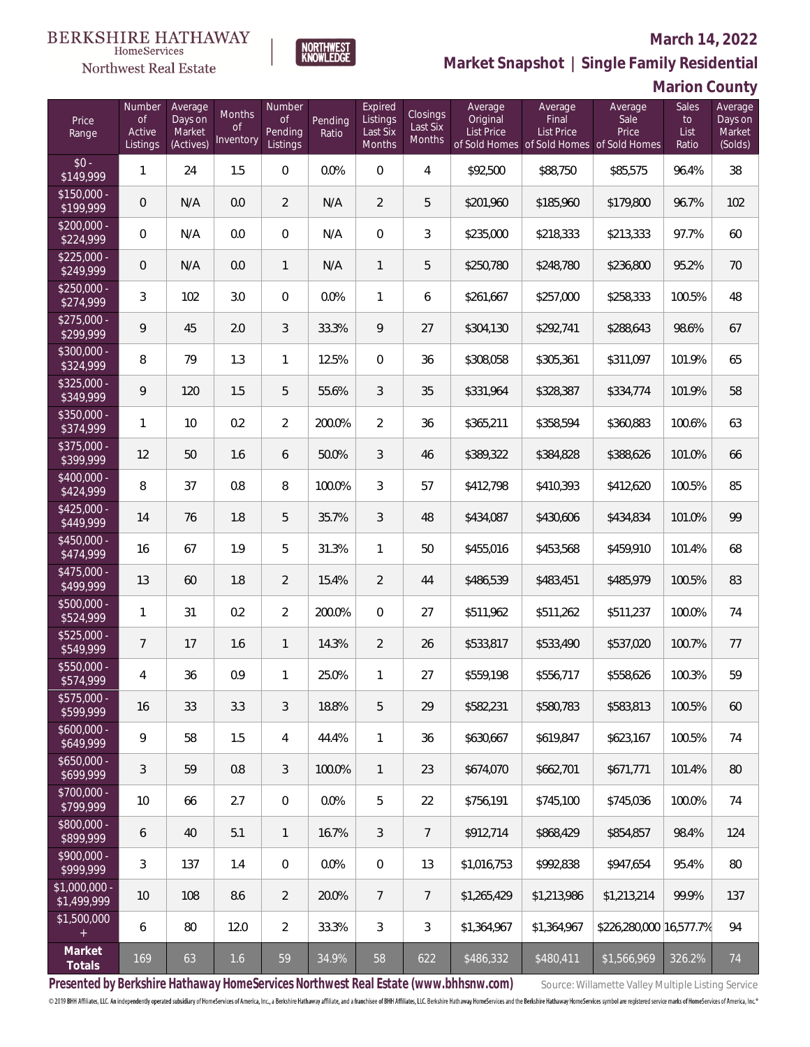### Northwest Real Estate

#### **March 14, 2022**



|  |  |  | Marion County |  |  |
|--|--|--|---------------|--|--|
|--|--|--|---------------|--|--|

| Price<br>Range               | Number<br><b>of</b><br>Active<br>Listings | Average<br>Days on<br>Market<br>(Actives) | Months<br>0f<br>Inventory | Number<br><b>of</b><br>Pending<br>Listings | Pending<br>Ratio | Expired<br>Listings<br>Last Six<br>Months | Closings<br>Last Six<br><b>Months</b> | Average<br>Original<br><b>List Price</b> | Average<br>Final<br>List Price | Average<br>Sale<br>Price<br>of Sold Homes of Sold Homes of Sold Homes | Sales<br>to<br>List<br>Ratio | Average<br>Days on<br>Market<br>(Solds) |
|------------------------------|-------------------------------------------|-------------------------------------------|---------------------------|--------------------------------------------|------------------|-------------------------------------------|---------------------------------------|------------------------------------------|--------------------------------|-----------------------------------------------------------------------|------------------------------|-----------------------------------------|
| $$0 -$<br>\$149,999          | $\mathbf{1}$                              | 24                                        | 1.5                       | $\overline{0}$                             | 0.0%             | $\overline{0}$                            | $\overline{4}$                        | \$92,500                                 | \$88,750                       | \$85,575                                                              | 96.4%                        | 38                                      |
| $$150,000 -$<br>\$199,999    | $\overline{0}$                            | N/A                                       | 0.0                       | $\overline{2}$                             | N/A              | $\overline{2}$                            | 5                                     | \$201,960                                | \$185,960                      | \$179,800                                                             | 96.7%                        | 102                                     |
| $$200,000 -$<br>\$224,999    | $\overline{0}$                            | N/A                                       | 0.0                       | $\overline{0}$                             | N/A              | $\overline{0}$                            | 3                                     | \$235,000                                | \$218,333                      | \$213,333                                                             | 97.7%                        | 60                                      |
| $$225,000 -$<br>\$249,999    | $\mathbf 0$                               | N/A                                       | 0.0                       | $\mathbf{1}$                               | N/A              | $\mathbf{1}$                              | 5                                     | \$250,780                                | \$248,780                      | \$236,800                                                             | 95.2%                        | 70                                      |
| $$250,000 -$<br>\$274,999    | 3                                         | 102                                       | 3.0                       | $\overline{0}$                             | 0.0%             | $\mathbf{1}$                              | 6                                     | \$261,667                                | \$257,000                      | \$258,333                                                             | 100.5%                       | 48                                      |
| $$275,000 -$<br>\$299,999    | 9                                         | 45                                        | 2.0                       | 3                                          | 33.3%            | 9                                         | 27                                    | \$304,130                                | \$292,741                      | \$288,643                                                             | 98.6%                        | 67                                      |
| $$300,000 -$<br>\$324,999    | 8                                         | 79                                        | 1.3                       | $\mathbf{1}$                               | 12.5%            | $\Omega$                                  | 36                                    | \$308,058                                | \$305,361                      | \$311,097                                                             | 101.9%                       | 65                                      |
| $$325,000 -$<br>\$349,999    | 9                                         | 120                                       | 1.5                       | 5                                          | 55.6%            | 3                                         | 35                                    | \$331,964                                | \$328,387                      | \$334,774                                                             | 101.9%                       | 58                                      |
| $$350,000 -$<br>\$374,999    | 1                                         | 10                                        | 0.2                       | $\overline{2}$                             | 200.0%           | $\overline{2}$                            | 36                                    | \$365,211                                | \$358,594                      | \$360,883                                                             | 100.6%                       | 63                                      |
| $$375,000 -$<br>\$399,999    | 12                                        | 50                                        | 1.6                       | 6                                          | 50.0%            | 3                                         | 46                                    | \$389,322                                | \$384,828                      | \$388,626                                                             | 101.0%                       | 66                                      |
| $$400,000 -$<br>\$424,999    | 8                                         | 37                                        | 0.8                       | 8                                          | 100.0%           | 3                                         | 57                                    | \$412,798                                | \$410,393                      | \$412,620                                                             | 100.5%                       | 85                                      |
| $$425,000 -$<br>\$449,999    | 14                                        | 76                                        | 1.8                       | 5                                          | 35.7%            | 3                                         | 48                                    | \$434,087                                | \$430,606                      | \$434,834                                                             | 101.0%                       | 99                                      |
| $$450,000 -$<br>\$474,999    | 16                                        | 67                                        | 1.9                       | 5                                          | 31.3%            | 1                                         | 50                                    | \$455,016                                | \$453,568                      | \$459,910                                                             | 101.4%                       | 68                                      |
| $$475,000 -$<br>\$499,999    | 13                                        | 60                                        | 1.8                       | $\overline{2}$                             | 15.4%            | $\overline{2}$                            | 44                                    | \$486,539                                | \$483,451                      | \$485,979                                                             | 100.5%                       | 83                                      |
| \$500,000 -<br>\$524,999     | $\mathbf{1}$                              | 31                                        | 0.2                       | $\overline{2}$                             | 200.0%           | $\Omega$                                  | 27                                    | \$511,962                                | \$511,262                      | \$511,237                                                             | 100.0%                       | 74                                      |
| $$525,000 -$<br>\$549,999    | $\overline{7}$                            | 17                                        | 1.6                       | $\mathbf{1}$                               | 14.3%            | $\overline{2}$                            | 26                                    | \$533,817                                | \$533,490                      | \$537,020                                                             | 100.7%                       | 77                                      |
| \$550,000 -<br>\$574,999     | 4                                         | 36                                        | 0.9                       | $\mathbf{1}$                               | 25.0%            | $\mathbf{1}$                              | 27                                    | \$559,198                                | \$556,717                      | \$558,626                                                             | 100.3%                       | 59                                      |
| \$575,000 -<br>\$599,999     | 16                                        | 33                                        | 3.3                       | 3                                          | 18.8%            | 5                                         | 29                                    | \$582,231                                | \$580,783                      | \$583,813                                                             | 100.5%                       | 60                                      |
| $$600,000 -$<br>\$649,999    | 9                                         | 58                                        | 1.5                       | 4                                          | 44.4%            | $\mathbf{1}$                              | 36                                    | \$630,667                                | \$619,847                      | \$623,167                                                             | 100.5%                       | 74                                      |
| $$650,000 -$<br>\$699,999    | 3                                         | 59                                        | 0.8                       | 3                                          | 100.0%           | $\mathbf{1}$                              | 23                                    | \$674,070                                | \$662,701                      | \$671,771                                                             | 101.4%                       | 80                                      |
| \$700,000 -<br>\$799,999     | 10                                        | 66                                        | 2.7                       | $\overline{0}$                             | 0.0%             | 5                                         | 22                                    | \$756,191                                | \$745,100                      | \$745,036                                                             | 100.0%                       | 74                                      |
| \$800,000 -<br>\$899,999     | 6                                         | 40                                        | 5.1                       | $\mathbf{1}$                               | 16.7%            | 3                                         | $\overline{7}$                        | \$912,714                                | \$868,429                      | \$854,857                                                             | 98.4%                        | 124                                     |
| \$900,000 -<br>\$999,999     | 3                                         | 137                                       | 1.4                       | 0                                          | 0.0%             | $\mathbf 0$                               | 13                                    | \$1,016,753                              | \$992,838                      | \$947,654                                                             | 95.4%                        | 80                                      |
| \$1,000,000 -<br>\$1,499,999 | 10                                        | 108                                       | 8.6                       | $\overline{2}$                             | 20.0%            | $\overline{7}$                            | $\overline{7}$                        | \$1,265,429                              | \$1,213,986                    | \$1,213,214                                                           | 99.9%                        | 137                                     |
| \$1,500,000<br>$+$           | 6                                         | 80                                        | 12.0                      | $\overline{2}$                             | 33.3%            | 3                                         | 3                                     | \$1,364,967                              | \$1,364,967                    | \$226,280,000 16,577.7%                                               |                              | 94                                      |
| Market<br>Totals             | 169                                       | 63                                        | $1.6\,$                   | 59                                         | 34.9%            | 58                                        | 622                                   | \$486,332                                | \$480,411                      | \$1,566,969                                                           | 326.2%                       | 74                                      |

**NORTHWEST**<br>KNOWLEDGE

Presented by Berkshire Hathaway HomeServices Northwest Real Estate (www.bhhsnw.com) source: Willamette Valley Multiple Listing Service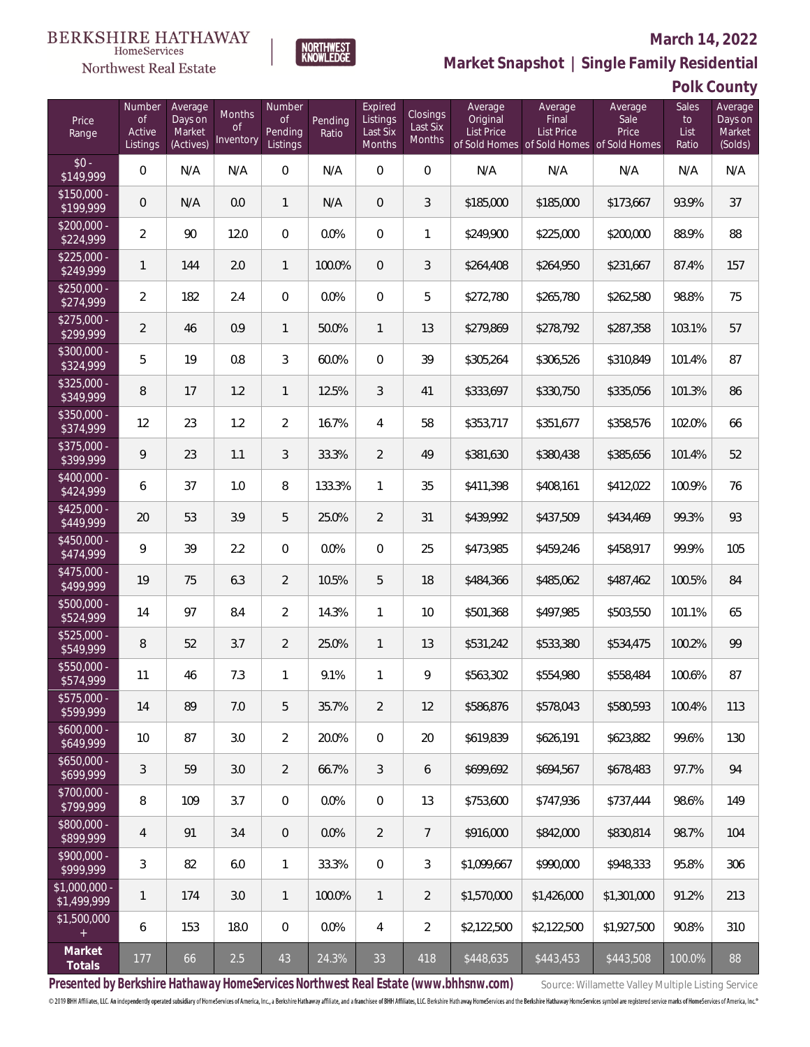

#### **March 14, 2022**

**Market Snapshot | Single Family Residential**

## **Polk County**

| Price<br>Range                | Number<br><b>of</b><br>Active<br>Listings | Average<br>Days on<br>Market<br>(Actives) | <b>Months</b><br><b>of</b><br>Inventory | Number<br>of<br>Pending<br>Listings | Pending<br>Ratio | Expired<br>Listings<br>Last Six<br>Months | Closings<br>Last Six<br><b>Months</b> | Average<br>Original<br><b>List Price</b> | Average<br>Final<br>List Price | Average<br>Sale<br>Price<br>of Sold Homes of Sold Homes of Sold Homes | Sales<br>to<br>List<br>Ratio | Average<br>Days on<br>Market<br>(Solds) |
|-------------------------------|-------------------------------------------|-------------------------------------------|-----------------------------------------|-------------------------------------|------------------|-------------------------------------------|---------------------------------------|------------------------------------------|--------------------------------|-----------------------------------------------------------------------|------------------------------|-----------------------------------------|
| $$0 -$<br>\$149,999           | $\overline{0}$                            | N/A                                       | N/A                                     | $\overline{0}$                      | N/A              | $\overline{0}$                            | $\overline{0}$                        | N/A                                      | N/A                            | N/A                                                                   | N/A                          | N/A                                     |
| $$150,000 -$<br>\$199,999     | $\overline{0}$                            | N/A                                       | 0.0                                     | $\mathbf{1}$                        | N/A              | $\overline{0}$                            | 3                                     | \$185,000                                | \$185,000                      | \$173,667                                                             | 93.9%                        | 37                                      |
| $$200,000 -$<br>\$224,999     | $\overline{2}$                            | 90                                        | 12.0                                    | $\overline{0}$                      | 0.0%             | $\Omega$                                  | 1                                     | \$249,900                                | \$225,000                      | \$200,000                                                             | 88.9%                        | 88                                      |
| $$225,000 -$<br>\$249,999     | $\mathbf{1}$                              | 144                                       | 2.0                                     | $\mathbf{1}$                        | 100.0%           | 0                                         | 3                                     | \$264,408                                | \$264,950                      | \$231,667                                                             | 87.4%                        | 157                                     |
| $$250,000 -$<br>\$274,999     | $\overline{2}$                            | 182                                       | 2.4                                     | $\overline{0}$                      | 0.0%             | $\overline{0}$                            | 5                                     | \$272,780                                | \$265,780                      | \$262,580                                                             | 98.8%                        | 75                                      |
| $$275,000 -$<br>\$299,999     | $\overline{2}$                            | 46                                        | 0.9                                     | $\mathbf{1}$                        | 50.0%            | $\mathbf{1}$                              | 13                                    | \$279,869                                | \$278,792                      | \$287,358                                                             | 103.1%                       | 57                                      |
| $$300,000 -$<br>\$324,999     | 5                                         | 19                                        | 0.8                                     | 3                                   | 60.0%            | $\overline{0}$                            | 39                                    | \$305,264                                | \$306,526                      | \$310,849                                                             | 101.4%                       | 87                                      |
| $$325,000 -$<br>\$349,999     | 8                                         | 17                                        | 1.2                                     | $\mathbf{1}$                        | 12.5%            | 3                                         | 41                                    | \$333,697                                | \$330,750                      | \$335,056                                                             | 101.3%                       | 86                                      |
| $$350,000 -$<br>\$374,999     | 12                                        | 23                                        | 1.2                                     | $\overline{2}$                      | 16.7%            | 4                                         | 58                                    | \$353,717                                | \$351,677                      | \$358,576                                                             | 102.0%                       | 66                                      |
| $$375,000 -$<br>\$399,999     | 9                                         | 23                                        | 1.1                                     | 3                                   | 33.3%            | $\overline{2}$                            | 49                                    | \$381,630                                | \$380,438                      | \$385,656                                                             | 101.4%                       | 52                                      |
| $$400,000 -$<br>\$424,999     | 6                                         | 37                                        | 1.0                                     | 8                                   | 133.3%           | 1                                         | 35                                    | \$411,398                                | \$408,161                      | \$412,022                                                             | 100.9%                       | 76                                      |
| $$425,000 -$<br>\$449,999     | 20                                        | 53                                        | 3.9                                     | 5                                   | 25.0%            | $\overline{2}$                            | 31                                    | \$439,992                                | \$437,509                      | \$434,469                                                             | 99.3%                        | 93                                      |
| $$450,000 -$<br>\$474,999     | 9                                         | 39                                        | 2.2                                     | $\Omega$                            | 0.0%             | $\Omega$                                  | 25                                    | \$473,985                                | \$459,246                      | \$458,917                                                             | 99.9%                        | 105                                     |
| $$475,000 -$<br>\$499,999     | 19                                        | 75                                        | 6.3                                     | $\overline{2}$                      | 10.5%            | 5                                         | 18                                    | \$484,366                                | \$485,062                      | \$487,462                                                             | 100.5%                       | 84                                      |
| $$500,000 -$<br>\$524,999     | 14                                        | 97                                        | 8.4                                     | $\overline{2}$                      | 14.3%            | 1                                         | 10                                    | \$501,368                                | \$497,985                      | \$503,550                                                             | 101.1%                       | 65                                      |
| \$525,000 -<br>\$549,999      | 8                                         | 52                                        | 3.7                                     | $\overline{2}$                      | 25.0%            | 1                                         | 13                                    | \$531,242                                | \$533,380                      | \$534,475                                                             | 100.2%                       | 99                                      |
| \$550,000 -<br>\$574,999      | 11                                        | 46                                        | 7.3                                     | 1                                   | 9.1%             | 1                                         | 9                                     | \$563,302                                | \$554,980                      | \$558,484                                                             | 100.6%                       | 87                                      |
| \$575,000 -<br>\$599,999      | 14                                        | 89                                        | 7.0                                     | 5                                   | 35.7%            | $\overline{2}$                            | 12                                    | \$586,876                                | \$578,043                      | \$580,593                                                             | 100.4%                       | 113                                     |
| $$600,000 -$<br>\$649,999     | 10                                        | 87                                        | 3.0                                     | $\overline{2}$                      | 20.0%            | $\mathbb O$                               | 20                                    | \$619,839                                | \$626,191                      | \$623,882                                                             | 99.6%                        | 130                                     |
| $$650,000 -$<br>\$699,999     | 3                                         | 59                                        | 3.0                                     | $\overline{2}$                      | 66.7%            | 3                                         | 6                                     | \$699,692                                | \$694,567                      | \$678,483                                                             | 97.7%                        | 94                                      |
| \$700,000 -<br>\$799,999      | 8                                         | 109                                       | 3.7                                     | $\overline{0}$                      | 0.0%             | $\mathbf 0$                               | 13                                    | \$753,600                                | \$747,936                      | \$737,444                                                             | 98.6%                        | 149                                     |
| \$800,000 -<br>\$899,999      | 4                                         | 91                                        | 3.4                                     | $\overline{0}$                      | 0.0%             | $\overline{2}$                            | $\overline{7}$                        | \$916,000                                | \$842,000                      | \$830,814                                                             | 98.7%                        | 104                                     |
| \$900,000 -<br>\$999,999      | 3                                         | 82                                        | 6.0                                     | $\mathbf{1}$                        | 33.3%            | $\overline{0}$                            | 3                                     | \$1,099,667                              | \$990,000                      | \$948,333                                                             | 95.8%                        | 306                                     |
| $$1,000,000$ -<br>\$1,499,999 | $\mathbf{1}$                              | 174                                       | 3.0                                     | $\mathbf{1}$                        | 100.0%           | $\mathbf{1}$                              | $\overline{2}$                        | \$1,570,000                              | \$1,426,000                    | \$1,301,000                                                           | 91.2%                        | 213                                     |
| \$1,500,000<br>$\pm$          | 6                                         | 153                                       | 18.0                                    | $\overline{0}$                      | 0.0%             | 4                                         | $\overline{2}$                        | \$2,122,500                              | \$2,122,500                    | \$1,927,500                                                           | 90.8%                        | 310                                     |
| Market<br>Totals              | 177                                       | 66                                        | $2.5\,$                                 | $43\,$                              | 24.3%            | 33                                        | 418                                   | \$448,635                                | \$443,453                      | \$443,508                                                             | 100.0%                       | 88                                      |

NORTHWEST<br>KNOWLFDGF

Presented by Berkshire Hathaway HomeServices Northwest Real Estate (www.bhhsnw.com) source: Willamette Valley Multiple Listing Service